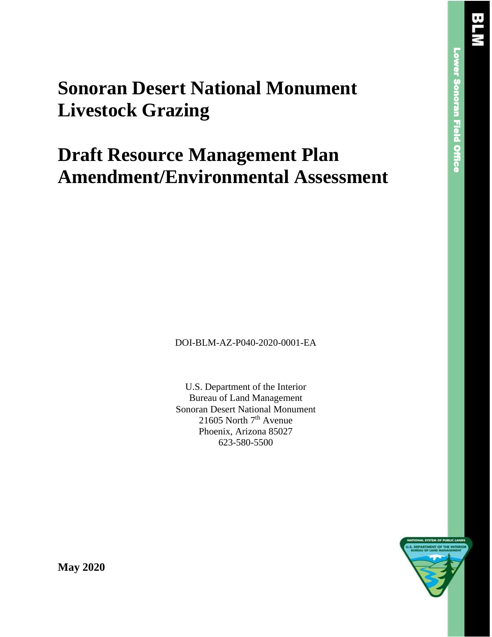# **Sonoran Desert National Monument Livestock Grazing**

# **Draft Resource Management Plan Amendment/Environmental Assessment**

DOI-BLM-AZ-P040-2020-0001-EA

U.S. Department of the Interior Bureau of Land Management Sonoran Desert National Monument 21605 North 7<sup>th</sup> Avenue Phoenix, Arizona 85027 623-580-5500



**May 2020**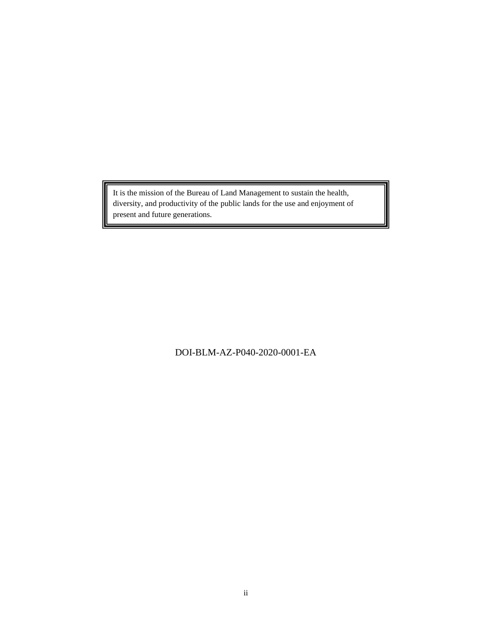It is the mission of the Bureau of Land Management to sustain the health, diversity, and productivity of the public lands for the use and enjoyment of present and future generations.

DOI-BLM-AZ-P040-2020-0001-EA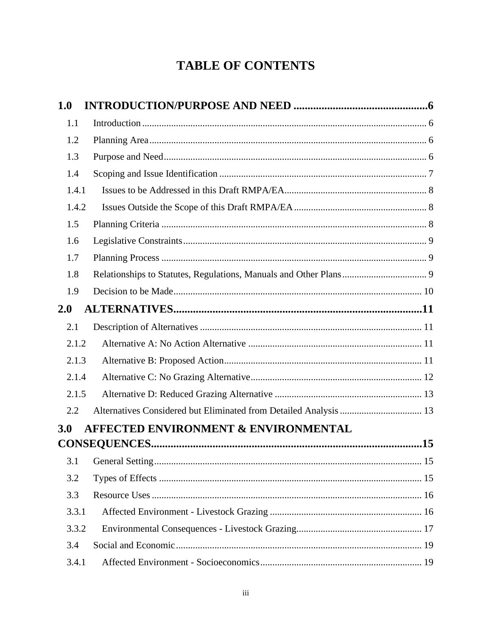# **TABLE OF CONTENTS**

| 1.0   |                                                 |     |
|-------|-------------------------------------------------|-----|
| 1.1   |                                                 |     |
| 1.2   |                                                 |     |
| 1.3   |                                                 |     |
| 1.4   |                                                 |     |
| 1.4.1 |                                                 |     |
| 1.4.2 |                                                 |     |
| 1.5   |                                                 |     |
| 1.6   |                                                 |     |
| 1.7   |                                                 |     |
| 1.8   |                                                 |     |
| 1.9   |                                                 |     |
| 2.0   |                                                 |     |
| 2.1   |                                                 |     |
| 2.1.2 |                                                 |     |
| 2.1.3 |                                                 |     |
| 2.1.4 |                                                 |     |
| 2.1.5 |                                                 |     |
| 2.2   |                                                 |     |
| 3.0   | <b>AFFECTED ENVIRONMENT &amp; ENVIRONMENTAL</b> |     |
|       |                                                 | .15 |
| 3.1   |                                                 |     |
| 3.2   |                                                 |     |
| 3.3   |                                                 |     |
| 3.3.1 |                                                 |     |
| 3.3.2 |                                                 |     |
| 3.4   |                                                 |     |
| 3.4.1 |                                                 |     |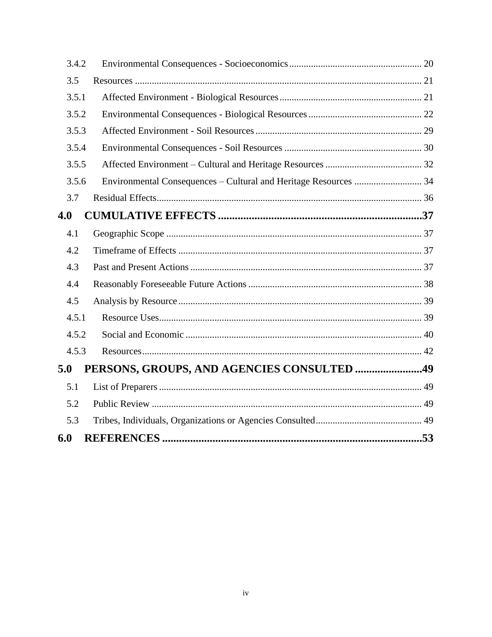| 3.4.2 |                                                                  |  |
|-------|------------------------------------------------------------------|--|
| 3.5   |                                                                  |  |
| 3.5.1 |                                                                  |  |
| 3.5.2 |                                                                  |  |
| 3.5.3 |                                                                  |  |
| 3.5.4 |                                                                  |  |
| 3.5.5 |                                                                  |  |
| 3.5.6 | Environmental Consequences - Cultural and Heritage Resources  34 |  |
| 3.7   |                                                                  |  |
| 4.0   |                                                                  |  |
| 4.1   |                                                                  |  |
| 4.2   |                                                                  |  |
| 4.3   |                                                                  |  |
| 4.4   |                                                                  |  |
| 4.5   |                                                                  |  |
| 4.5.1 |                                                                  |  |
| 4.5.2 |                                                                  |  |
| 4.5.3 |                                                                  |  |
| 5.0   | PERSONS, GROUPS, AND AGENCIES CONSULTED 49                       |  |
| 5.1   |                                                                  |  |
| 5.2   |                                                                  |  |
| 5.3   |                                                                  |  |
| 6.0   |                                                                  |  |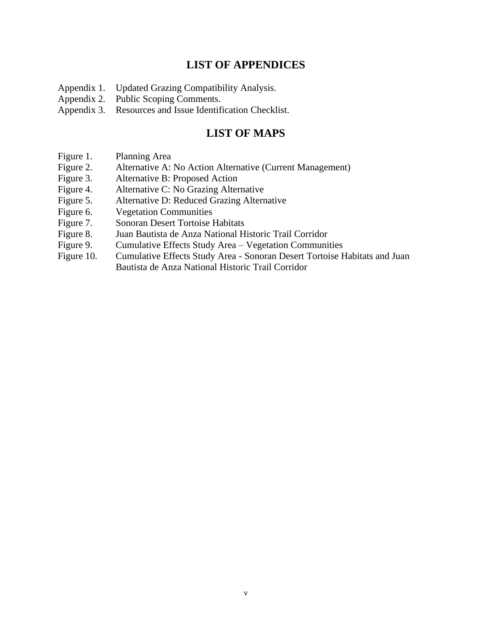## **LIST OF APPENDICES**

- Appendix 1. Updated Grazing Compatibility Analysis.
- Appendix 2. Public Scoping Comments.
- Appendix 3. Resources and Issue Identification Checklist.

## **LIST OF MAPS**

- Figure 1. Planning Area
- Figure 2. Alternative A: No Action Alternative (Current Management)
- Figure 3. Alternative B: Proposed Action
- Figure 4. Alternative C: No Grazing Alternative
- Figure 5. Alternative D: Reduced Grazing Alternative
- Figure 6. Vegetation Communities
- Figure 7. Sonoran Desert Tortoise Habitats
- Figure 8. Juan Bautista de Anza National Historic Trail Corridor
- Figure 9. Cumulative Effects Study Area Vegetation Communities
- Figure 10. Cumulative Effects Study Area Sonoran Desert Tortoise Habitats and Juan Bautista de Anza National Historic Trail Corridor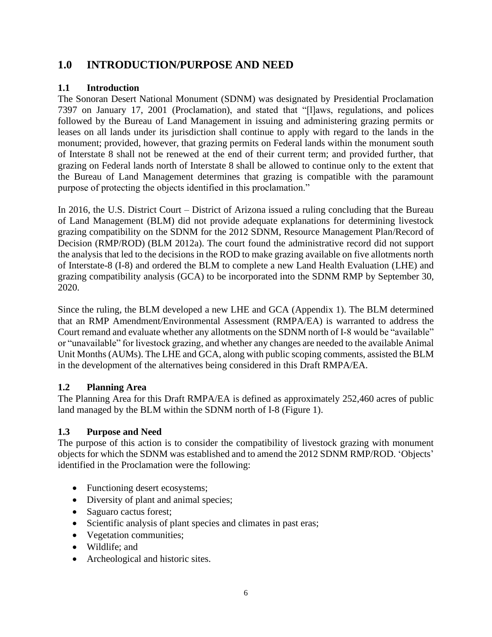## <span id="page-5-0"></span>**1.0 INTRODUCTION/PURPOSE AND NEED**

## <span id="page-5-1"></span>**1.1 Introduction**

The Sonoran Desert National Monument (SDNM) was designated by Presidential Proclamation 7397 on January 17, 2001 (Proclamation), and stated that "[l]aws, regulations, and polices followed by the Bureau of Land Management in issuing and administering grazing permits or leases on all lands under its jurisdiction shall continue to apply with regard to the lands in the monument; provided, however, that grazing permits on Federal lands within the monument south of Interstate 8 shall not be renewed at the end of their current term; and provided further, that grazing on Federal lands north of Interstate 8 shall be allowed to continue only to the extent that the Bureau of Land Management determines that grazing is compatible with the paramount purpose of protecting the objects identified in this proclamation."

In 2016, the U.S. District Court – District of Arizona issued a ruling concluding that the Bureau of Land Management (BLM) did not provide adequate explanations for determining livestock grazing compatibility on the SDNM for the 2012 SDNM, Resource Management Plan/Record of Decision (RMP/ROD) (BLM 2012a). The court found the administrative record did not support the analysis that led to the decisions in the ROD to make grazing available on five allotments north of Interstate-8 (I-8) and ordered the BLM to complete a new Land Health Evaluation (LHE) and grazing compatibility analysis (GCA) to be incorporated into the SDNM RMP by September 30, 2020.

Since the ruling, the BLM developed a new LHE and GCA (Appendix 1). The BLM determined that an RMP Amendment/Environmental Assessment (RMPA/EA) is warranted to address the Court remand and evaluate whether any allotments on the SDNM north of I-8 would be "available" or "unavailable" for livestock grazing, and whether any changes are needed to the available Animal Unit Months (AUMs). The LHE and GCA, along with public scoping comments, assisted the BLM in the development of the alternatives being considered in this Draft RMPA/EA.

## <span id="page-5-2"></span>**1.2 Planning Area**

The Planning Area for this Draft RMPA/EA is defined as approximately 252,460 acres of public land managed by the BLM within the SDNM north of I-8 (Figure 1).

## <span id="page-5-3"></span>**1.3 Purpose and Need**

The purpose of this action is to consider the compatibility of livestock grazing with monument objects for which the SDNM was established and to amend the 2012 SDNM RMP/ROD. 'Objects' identified in the Proclamation were the following:

- Functioning desert ecosystems;
- Diversity of plant and animal species;
- Saguaro cactus forest;
- Scientific analysis of plant species and climates in past eras;
- Vegetation communities;
- Wildlife; and
- Archeological and historic sites.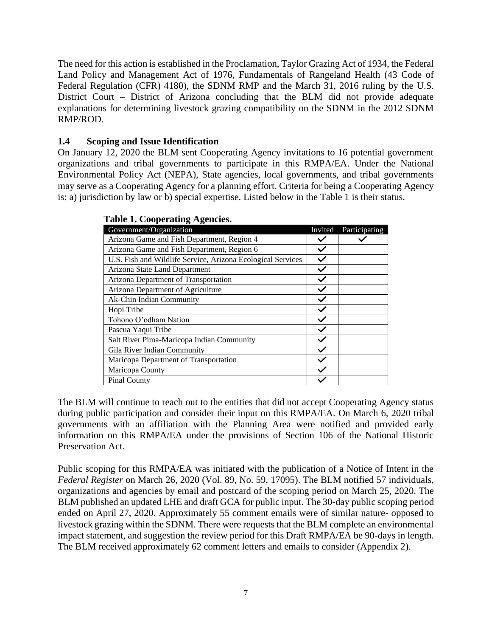The need for this action is established in the Proclamation, Taylor Grazing Act of 1934, the Federal Land Policy and Management Act of 1976, Fundamentals of Rangeland Health (43 Code of Federal Regulation (CFR) 4180), the SDNM RMP and the March 31, 2016 ruling by the U.S. District Court – District of Arizona concluding that the BLM did not provide adequate explanations for determining livestock grazing compatibility on the SDNM in the 2012 SDNM RMP/ROD.

## <span id="page-6-0"></span>**1.4 Scoping and Issue Identification**

On January 12, 2020 the BLM sent Cooperating Agency invitations to 16 potential government organizations and tribal governments to participate in this RMPA/EA. Under the National Environmental Policy Act (NEPA), State agencies, local governments, and tribal governments may serve as a Cooperating Agency for a planning effort. Criteria for being a Cooperating Agency is: a) jurisdiction by law or b) special expertise. Listed below in the Table 1 is their status.

| ruote 1. Cooperunne rigeneres.                              |         |               |
|-------------------------------------------------------------|---------|---------------|
| Government/Organization                                     | Invited | Participating |
| Arizona Game and Fish Department, Region 4                  |         |               |
| Arizona Game and Fish Department, Region 6                  |         |               |
| U.S. Fish and Wildlife Service, Arizona Ecological Services |         |               |
| Arizona State Land Department                               |         |               |
| Arizona Department of Transportation                        |         |               |
| Arizona Department of Agriculture                           |         |               |
| Ak-Chin Indian Community                                    |         |               |
| Hopi Tribe                                                  |         |               |
| Tohono O'odham Nation                                       |         |               |
| Pascua Yaqui Tribe                                          |         |               |
| Salt River Pima-Maricopa Indian Community                   |         |               |
| Gila River Indian Community                                 |         |               |
| Maricopa Department of Transportation                       |         |               |
| Maricopa County                                             |         |               |
| <b>Pinal County</b>                                         |         |               |
|                                                             |         |               |

|  | <b>Table 1. Cooperating Agencies.</b> |  |
|--|---------------------------------------|--|
|--|---------------------------------------|--|

The BLM will continue to reach out to the entities that did not accept Cooperating Agency status during public participation and consider their input on this RMPA/EA. On March 6, 2020 tribal governments with an affiliation with the Planning Area were notified and provided early information on this RMPA/EA under the provisions of Section 106 of the National Historic Preservation Act.

Public scoping for this RMPA/EA was initiated with the publication of a Notice of Intent in the *Federal Register* on March 26, 2020 (Vol. 89, No. 59, 17095). The BLM notified 57 individuals, organizations and agencies by email and postcard of the scoping period on March 25, 2020. The BLM published an updated LHE and draft GCA for public input. The 30-day public scoping period ended on April 27, 2020. Approximately 55 comment emails were of similar nature- opposed to livestock grazing within the SDNM. There were requests that the BLM complete an environmental impact statement, and suggestion the review period for this Draft RMPA/EA be 90-days in length. The BLM received approximately 62 comment letters and emails to consider (Appendix 2).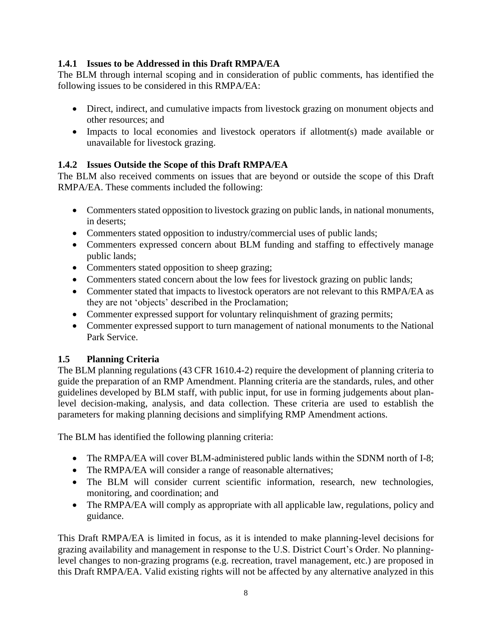## <span id="page-7-0"></span>**1.4.1 Issues to be Addressed in this Draft RMPA/EA**

The BLM through internal scoping and in consideration of public comments, has identified the following issues to be considered in this RMPA/EA:

- Direct, indirect, and cumulative impacts from livestock grazing on monument objects and other resources; and
- Impacts to local economies and livestock operators if allotment(s) made available or unavailable for livestock grazing.

## <span id="page-7-1"></span>**1.4.2 Issues Outside the Scope of this Draft RMPA/EA**

The BLM also received comments on issues that are beyond or outside the scope of this Draft RMPA/EA. These comments included the following:

- Commenters stated opposition to livestock grazing on public lands, in national monuments, in deserts;
- Commenters stated opposition to industry/commercial uses of public lands;
- Commenters expressed concern about BLM funding and staffing to effectively manage public lands;
- Commenters stated opposition to sheep grazing;
- Commenters stated concern about the low fees for livestock grazing on public lands;
- Commenter stated that impacts to livestock operators are not relevant to this RMPA/EA as they are not 'objects' described in the Proclamation;
- Commenter expressed support for voluntary relinquishment of grazing permits;
- Commenter expressed support to turn management of national monuments to the National Park Service.

## <span id="page-7-2"></span>**1.5 Planning Criteria**

The BLM planning regulations (43 CFR 1610.4-2) require the development of planning criteria to guide the preparation of an RMP Amendment. Planning criteria are the standards, rules, and other guidelines developed by BLM staff, with public input, for use in forming judgements about planlevel decision-making, analysis, and data collection. These criteria are used to establish the parameters for making planning decisions and simplifying RMP Amendment actions.

The BLM has identified the following planning criteria:

- The RMPA/EA will cover BLM-administered public lands within the SDNM north of I-8;
- The RMPA/EA will consider a range of reasonable alternatives;
- The BLM will consider current scientific information, research, new technologies, monitoring, and coordination; and
- The RMPA/EA will comply as appropriate with all applicable law, regulations, policy and guidance.

This Draft RMPA/EA is limited in focus, as it is intended to make planning-level decisions for grazing availability and management in response to the U.S. District Court's Order. No planninglevel changes to non-grazing programs (e.g. recreation, travel management, etc.) are proposed in this Draft RMPA/EA. Valid existing rights will not be affected by any alternative analyzed in this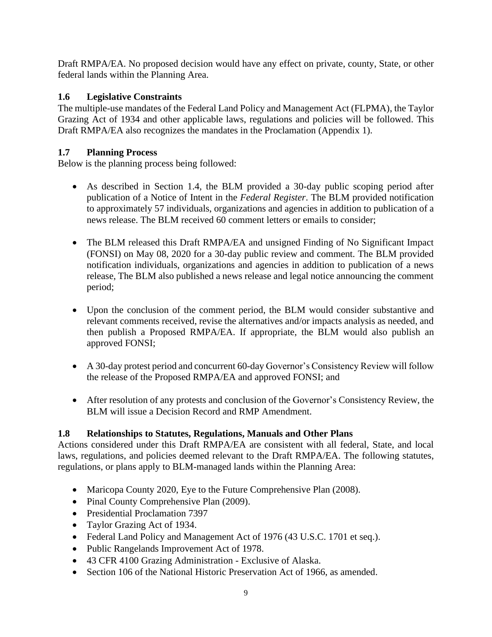Draft RMPA/EA. No proposed decision would have any effect on private, county, State, or other federal lands within the Planning Area.

## <span id="page-8-0"></span>**1.6 Legislative Constraints**

The multiple-use mandates of the Federal Land Policy and Management Act (FLPMA), the Taylor Grazing Act of 1934 and other applicable laws, regulations and policies will be followed. This Draft RMPA/EA also recognizes the mandates in the Proclamation (Appendix 1).

## <span id="page-8-1"></span>**1.7 Planning Process**

Below is the planning process being followed:

- As described in Section 1.4, the BLM provided a 30-day public scoping period after publication of a Notice of Intent in the *Federal Register*. The BLM provided notification to approximately 57 individuals, organizations and agencies in addition to publication of a news release. The BLM received 60 comment letters or emails to consider;
- The BLM released this Draft RMPA/EA and unsigned Finding of No Significant Impact (FONSI) on May 08, 2020 for a 30-day public review and comment. The BLM provided notification individuals, organizations and agencies in addition to publication of a news release, The BLM also published a news release and legal notice announcing the comment period;
- Upon the conclusion of the comment period, the BLM would consider substantive and relevant comments received, revise the alternatives and/or impacts analysis as needed, and then publish a Proposed RMPA/EA. If appropriate, the BLM would also publish an approved FONSI;
- A 30-day protest period and concurrent 60-day Governor's Consistency Review will follow the release of the Proposed RMPA/EA and approved FONSI; and
- After resolution of any protests and conclusion of the Governor's Consistency Review, the BLM will issue a Decision Record and RMP Amendment.

## <span id="page-8-2"></span>**1.8 Relationships to Statutes, Regulations, Manuals and Other Plans**

Actions considered under this Draft RMPA/EA are consistent with all federal, State, and local laws, regulations, and policies deemed relevant to the Draft RMPA/EA. The following statutes, regulations, or plans apply to BLM-managed lands within the Planning Area:

- Maricopa County 2020, Eye to the Future Comprehensive Plan (2008).
- Pinal County Comprehensive Plan (2009).
- Presidential Proclamation 7397
- Taylor Grazing Act of 1934.
- Federal Land Policy and Management Act of 1976 (43 U.S.C. 1701 et seq.).
- Public Rangelands Improvement Act of 1978.
- 43 CFR 4100 Grazing Administration Exclusive of Alaska.
- Section 106 of the National Historic Preservation Act of 1966, as amended.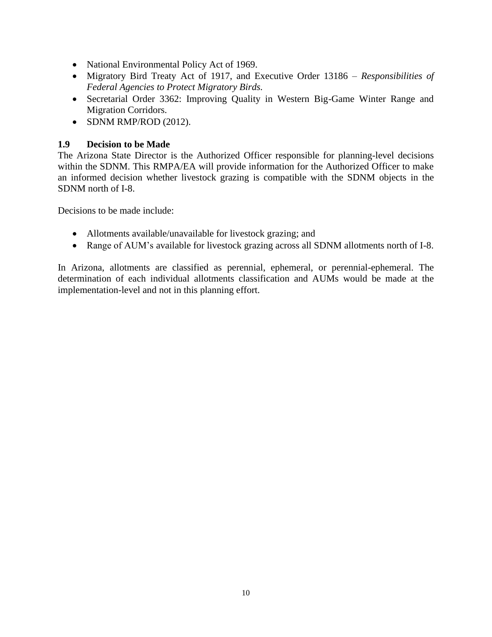- National Environmental Policy Act of 1969.
- Migratory Bird Treaty Act of 1917, and Executive Order 13186 *Responsibilities of Federal Agencies to Protect Migratory Birds.*
- Secretarial Order 3362: Improving Quality in Western Big-Game Winter Range and Migration Corridors.
- SDNM RMP/ROD (2012).

## <span id="page-9-0"></span>**1.9 Decision to be Made**

The Arizona State Director is the Authorized Officer responsible for planning-level decisions within the SDNM. This RMPA/EA will provide information for the Authorized Officer to make an informed decision whether livestock grazing is compatible with the SDNM objects in the SDNM north of I-8.

Decisions to be made include:

- Allotments available/unavailable for livestock grazing; and
- Range of AUM's available for livestock grazing across all SDNM allotments north of I-8.

In Arizona, allotments are classified as perennial, ephemeral, or perennial-ephemeral. The determination of each individual allotments classification and AUMs would be made at the implementation-level and not in this planning effort.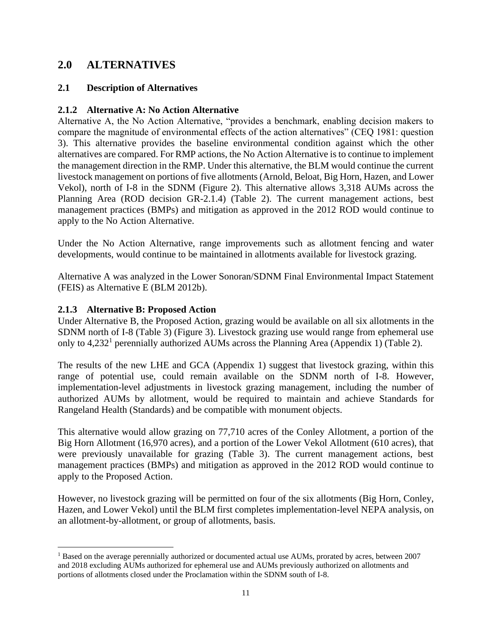## <span id="page-10-0"></span>**2.0 ALTERNATIVES**

## <span id="page-10-1"></span>**2.1 Description of Alternatives**

## <span id="page-10-2"></span>**2.1.2 Alternative A: No Action Alternative**

Alternative A, the No Action Alternative, "provides a benchmark, enabling decision makers to compare the magnitude of environmental effects of the action alternatives" (CEQ 1981: question 3). This alternative provides the baseline environmental condition against which the other alternatives are compared. For RMP actions, the No Action Alternative is to continue to implement the management direction in the RMP. Under this alternative, the BLM would continue the current livestock management on portions of five allotments (Arnold, Beloat, Big Horn, Hazen, and Lower Vekol), north of I-8 in the SDNM (Figure 2). This alternative allows 3,318 AUMs across the Planning Area (ROD decision GR-2.1.4) (Table 2). The current management actions, best management practices (BMPs) and mitigation as approved in the 2012 ROD would continue to apply to the No Action Alternative.

Under the No Action Alternative, range improvements such as allotment fencing and water developments, would continue to be maintained in allotments available for livestock grazing.

Alternative A was analyzed in the Lower Sonoran/SDNM Final Environmental Impact Statement (FEIS) as Alternative E (BLM 2012b).

## <span id="page-10-3"></span>**2.1.3 Alternative B: Proposed Action**

Under Alternative B, the Proposed Action, grazing would be available on all six allotments in the SDNM north of I-8 (Table 3) (Figure 3). Livestock grazing use would range from ephemeral use only to 4,232<sup>1</sup> perennially authorized AUMs across the Planning Area (Appendix 1) (Table 2).

The results of the new LHE and GCA (Appendix 1) suggest that livestock grazing, within this range of potential use, could remain available on the SDNM north of I-8. However, implementation-level adjustments in livestock grazing management, including the number of authorized AUMs by allotment, would be required to maintain and achieve Standards for Rangeland Health (Standards) and be compatible with monument objects.

This alternative would allow grazing on 77,710 acres of the Conley Allotment, a portion of the Big Horn Allotment (16,970 acres), and a portion of the Lower Vekol Allotment (610 acres), that were previously unavailable for grazing (Table 3). The current management actions, best management practices (BMPs) and mitigation as approved in the 2012 ROD would continue to apply to the Proposed Action.

However, no livestock grazing will be permitted on four of the six allotments (Big Horn, Conley, Hazen, and Lower Vekol) until the BLM first completes implementation-level NEPA analysis, on an allotment-by-allotment, or group of allotments, basis.

<sup>&</sup>lt;sup>1</sup> Based on the average perennially authorized or documented actual use AUMs, prorated by acres, between 2007 and 2018 excluding AUMs authorized for ephemeral use and AUMs previously authorized on allotments and portions of allotments closed under the Proclamation within the SDNM south of I-8.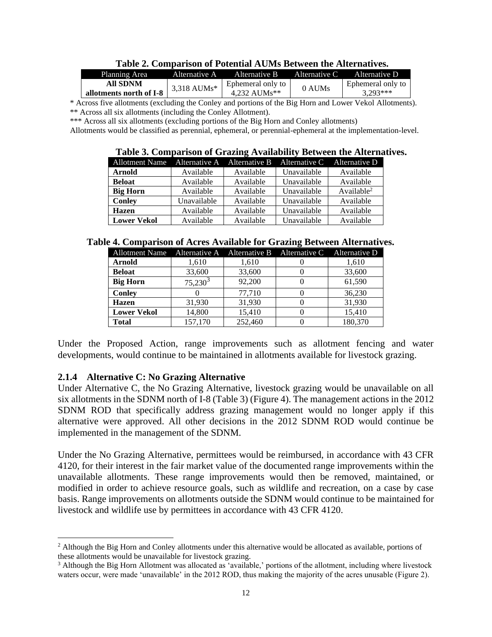|                         |               | Table 2. Combarison of Folchuar AUNIS Detween the Alternatives. |        |                   |
|-------------------------|---------------|-----------------------------------------------------------------|--------|-------------------|
| Planning Area           |               | Alternative A Alternative B Alternative C Alternative D         |        |                   |
| All SDNM                | $3,318$ AUMs* | Ephemeral only to 1                                             | 0 AUMs | Ephemeral only to |
| allotments north of I-8 |               | 4.232 AUMs**                                                    |        | $3.293***$        |

**Table 2. Comparison of Potential AUMs Between the Alternatives.**

 \* Across five allotments (excluding the Conley and portions of the Big Horn and Lower Vekol Allotments). \*\* Across all six allotments (including the Conley Allotment).

\*\*\* Across all six allotments (excluding portions of the Big Horn and Conley allotments)

Allotments would be classified as perennial, ephemeral, or perennial-ephemeral at the implementation-level.

#### **Table 3. Comparison of Grazing Availability Between the Alternatives.**

| Allotment Name Alternative A Alternative B Alternative C Alternative D |             |           |             |                        |
|------------------------------------------------------------------------|-------------|-----------|-------------|------------------------|
| <b>Arnold</b>                                                          | Available   | Available | Unavailable | Available              |
| <b>Beloat</b>                                                          | Available   | Available | Unavailable | Available              |
| <b>Big Horn</b>                                                        | Available   | Available | Unavailable | Available <sup>2</sup> |
| <b>Conley</b>                                                          | Unavailable | Available | Unavailable | Available              |
| <b>Hazen</b>                                                           | Available   | Available | Unavailable | Available              |
| <b>Lower Vekol</b>                                                     | Available   | Available | Unavailable | Available              |

#### **Table 4. Comparison of Acres Available for Grazing Between Alternatives.**

| <b>Allotment Name</b> |            |         | Alternative A Alternative B Alternative C Alternative D |         |
|-----------------------|------------|---------|---------------------------------------------------------|---------|
| <b>Arnold</b>         | 1,610      | 1,610   |                                                         | 1,610   |
| <b>Beloat</b>         | 33,600     | 33,600  |                                                         | 33,600  |
| <b>Big Horn</b>       | $75,230^3$ | 92,200  |                                                         | 61,590  |
| <b>Conley</b>         |            | 77,710  |                                                         | 36,230  |
| <b>Hazen</b>          | 31,930     | 31,930  |                                                         | 31,930  |
| <b>Lower Vekol</b>    | 14,800     | 15,410  |                                                         | 15,410  |
| <b>Total</b>          | 157,170    | 252,460 |                                                         | 180,370 |

Under the Proposed Action, range improvements such as allotment fencing and water developments, would continue to be maintained in allotments available for livestock grazing.

## <span id="page-11-0"></span>**2.1.4 Alternative C: No Grazing Alternative**

Under Alternative C, the No Grazing Alternative, livestock grazing would be unavailable on all six allotments in the SDNM north of I-8 (Table 3) (Figure 4). The management actions in the 2012 SDNM ROD that specifically address grazing management would no longer apply if this alternative were approved. All other decisions in the 2012 SDNM ROD would continue be implemented in the management of the SDNM.

Under the No Grazing Alternative, permittees would be reimbursed, in accordance with 43 CFR 4120, for their interest in the fair market value of the documented range improvements within the unavailable allotments. These range improvements would then be removed, maintained, or modified in order to achieve resource goals, such as wildlife and recreation, on a case by case basis. Range improvements on allotments outside the SDNM would continue to be maintained for livestock and wildlife use by permittees in accordance with 43 CFR 4120.

 $<sup>2</sup>$  Although the Big Horn and Conley allotments under this alternative would be allocated as available, portions of</sup> these allotments would be unavailable for livestock grazing.

<sup>3</sup> Although the Big Horn Allotment was allocated as 'available,' portions of the allotment, including where livestock waters occur, were made 'unavailable' in the 2012 ROD, thus making the majority of the acres unusable (Figure 2).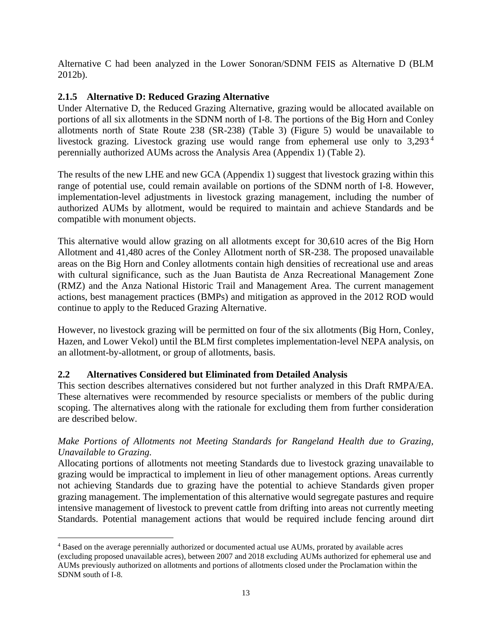Alternative C had been analyzed in the Lower Sonoran/SDNM FEIS as Alternative D (BLM 2012b).

## <span id="page-12-0"></span>**2.1.5 Alternative D: Reduced Grazing Alternative**

Under Alternative D, the Reduced Grazing Alternative, grazing would be allocated available on portions of all six allotments in the SDNM north of I-8. The portions of the Big Horn and Conley allotments north of State Route 238 (SR-238) (Table 3) (Figure 5) would be unavailable to livestock grazing. Livestock grazing use would range from ephemeral use only to 3,293<sup>4</sup> perennially authorized AUMs across the Analysis Area (Appendix 1) (Table 2).

The results of the new LHE and new GCA (Appendix 1) suggest that livestock grazing within this range of potential use, could remain available on portions of the SDNM north of I-8. However, implementation-level adjustments in livestock grazing management, including the number of authorized AUMs by allotment, would be required to maintain and achieve Standards and be compatible with monument objects.

This alternative would allow grazing on all allotments except for 30,610 acres of the Big Horn Allotment and 41,480 acres of the Conley Allotment north of SR-238. The proposed unavailable areas on the Big Horn and Conley allotments contain high densities of recreational use and areas with cultural significance, such as the Juan Bautista de Anza Recreational Management Zone (RMZ) and the Anza National Historic Trail and Management Area. The current management actions, best management practices (BMPs) and mitigation as approved in the 2012 ROD would continue to apply to the Reduced Grazing Alternative.

However, no livestock grazing will be permitted on four of the six allotments (Big Horn, Conley, Hazen, and Lower Vekol) until the BLM first completes implementation-level NEPA analysis, on an allotment-by-allotment, or group of allotments, basis.

## <span id="page-12-1"></span>**2.2 Alternatives Considered but Eliminated from Detailed Analysis**

This section describes alternatives considered but not further analyzed in this Draft RMPA/EA. These alternatives were recommended by resource specialists or members of the public during scoping. The alternatives along with the rationale for excluding them from further consideration are described below.

## *Make Portions of Allotments not Meeting Standards for Rangeland Health due to Grazing, Unavailable to Grazing.*

Allocating portions of allotments not meeting Standards due to livestock grazing unavailable to grazing would be impractical to implement in lieu of other management options. Areas currently not achieving Standards due to grazing have the potential to achieve Standards given proper grazing management. The implementation of this alternative would segregate pastures and require intensive management of livestock to prevent cattle from drifting into areas not currently meeting Standards. Potential management actions that would be required include fencing around dirt

<sup>4</sup> Based on the average perennially authorized or documented actual use AUMs, prorated by available acres (excluding proposed unavailable acres), between 2007 and 2018 excluding AUMs authorized for ephemeral use and AUMs previously authorized on allotments and portions of allotments closed under the Proclamation within the SDNM south of I-8.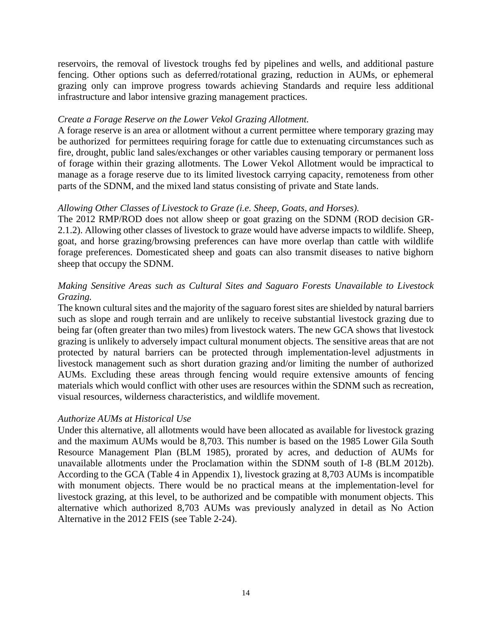reservoirs, the removal of livestock troughs fed by pipelines and wells, and additional pasture fencing. Other options such as deferred/rotational grazing, reduction in AUMs, or ephemeral grazing only can improve progress towards achieving Standards and require less additional infrastructure and labor intensive grazing management practices.

## *Create a Forage Reserve on the Lower Vekol Grazing Allotment.*

A forage reserve is an area or allotment without a current permittee where temporary grazing may be authorized for permittees requiring forage for cattle due to extenuating circumstances such as fire, drought, public land sales/exchanges or other variables causing temporary or permanent loss of forage within their grazing allotments. The Lower Vekol Allotment would be impractical to manage as a forage reserve due to its limited livestock carrying capacity, remoteness from other parts of the SDNM, and the mixed land status consisting of private and State lands.

## *Allowing Other Classes of Livestock to Graze (i.e. Sheep, Goats, and Horses).*

The 2012 RMP/ROD does not allow sheep or goat grazing on the SDNM (ROD decision GR-2.1.2). Allowing other classes of livestock to graze would have adverse impacts to wildlife. Sheep, goat, and horse grazing/browsing preferences can have more overlap than cattle with wildlife forage preferences. Domesticated sheep and goats can also transmit diseases to native bighorn sheep that occupy the SDNM.

## *Making Sensitive Areas such as Cultural Sites and Saguaro Forests Unavailable to Livestock Grazing.*

The known cultural sites and the majority of the saguaro forest sites are shielded by natural barriers such as slope and rough terrain and are unlikely to receive substantial livestock grazing due to being far (often greater than two miles) from livestock waters. The new GCA shows that livestock grazing is unlikely to adversely impact cultural monument objects. The sensitive areas that are not protected by natural barriers can be protected through implementation-level adjustments in livestock management such as short duration grazing and/or limiting the number of authorized AUMs. Excluding these areas through fencing would require extensive amounts of fencing materials which would conflict with other uses are resources within the SDNM such as recreation, visual resources, wilderness characteristics, and wildlife movement.

## *Authorize AUMs at Historical Use*

Under this alternative, all allotments would have been allocated as available for livestock grazing and the maximum AUMs would be 8,703. This number is based on the 1985 Lower Gila South Resource Management Plan (BLM 1985), prorated by acres, and deduction of AUMs for unavailable allotments under the Proclamation within the SDNM south of I-8 (BLM 2012b). According to the GCA (Table 4 in Appendix 1), livestock grazing at 8,703 AUMs is incompatible with monument objects. There would be no practical means at the implementation-level for livestock grazing, at this level, to be authorized and be compatible with monument objects. This alternative which authorized 8,703 AUMs was previously analyzed in detail as No Action Alternative in the 2012 FEIS (see Table 2-24).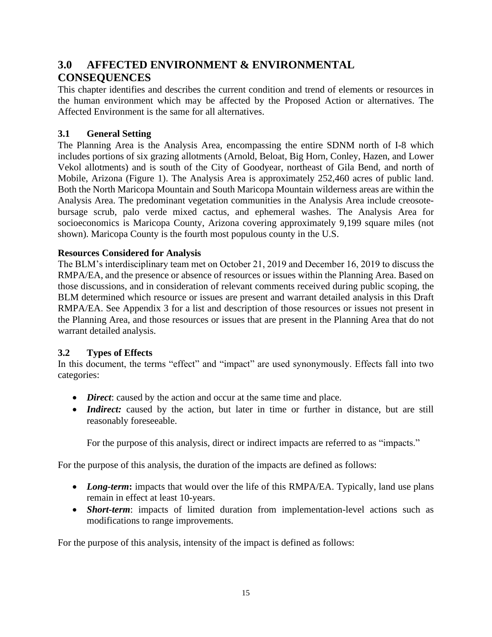# <span id="page-14-0"></span>**3.0 AFFECTED ENVIRONMENT & ENVIRONMENTAL CONSEQUENCES**

This chapter identifies and describes the current condition and trend of elements or resources in the human environment which may be affected by the Proposed Action or alternatives. The Affected Environment is the same for all alternatives.

## <span id="page-14-1"></span>**3.1 General Setting**

The Planning Area is the Analysis Area, encompassing the entire SDNM north of I-8 which includes portions of six grazing allotments (Arnold, Beloat, Big Horn, Conley, Hazen, and Lower Vekol allotments) and is south of the City of Goodyear, northeast of Gila Bend, and north of Mobile, Arizona (Figure 1). The Analysis Area is approximately 252,460 acres of public land. Both the North Maricopa Mountain and South Maricopa Mountain wilderness areas are within the Analysis Area. The predominant vegetation communities in the Analysis Area include creosotebursage scrub, palo verde mixed cactus, and ephemeral washes. The Analysis Area for socioeconomics is Maricopa County, Arizona covering approximately 9,199 square miles (not shown). Maricopa County is the fourth most populous county in the U.S.

## **Resources Considered for Analysis**

The BLM's interdisciplinary team met on October 21, 2019 and December 16, 2019 to discuss the RMPA/EA, and the presence or absence of resources or issues within the Planning Area. Based on those discussions, and in consideration of relevant comments received during public scoping, the BLM determined which resource or issues are present and warrant detailed analysis in this Draft RMPA/EA. See Appendix 3 for a list and description of those resources or issues not present in the Planning Area, and those resources or issues that are present in the Planning Area that do not warrant detailed analysis.

## <span id="page-14-2"></span>**3.2 Types of Effects**

In this document, the terms "effect" and "impact" are used synonymously. Effects fall into two categories:

- *Direct*: caused by the action and occur at the same time and place.
- *Indirect:* caused by the action, but later in time or further in distance, but are still reasonably foreseeable.

For the purpose of this analysis, direct or indirect impacts are referred to as "impacts."

For the purpose of this analysis, the duration of the impacts are defined as follows:

- *Long-term*: impacts that would over the life of this RMPA/EA. Typically, land use plans remain in effect at least 10-years.
- *Short-term*: impacts of limited duration from implementation-level actions such as modifications to range improvements.

For the purpose of this analysis, intensity of the impact is defined as follows: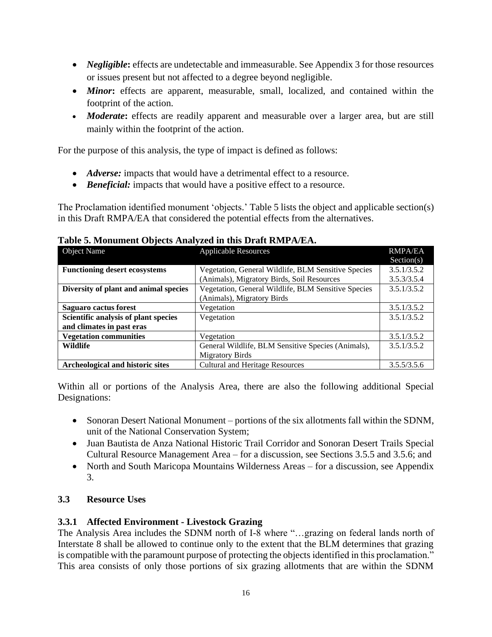- *Negligible*: effects are undetectable and immeasurable. See Appendix 3 for those resources or issues present but not affected to a degree beyond negligible.
- *Minor*: effects are apparent, measurable, small, localized, and contained within the footprint of the action.
- *Moderate*: effects are readily apparent and measurable over a larger area, but are still mainly within the footprint of the action.

For the purpose of this analysis, the type of impact is defined as follows:

- *Adverse:* impacts that would have a detrimental effect to a resource.
- *Beneficial:* impacts that would have a positive effect to a resource.

The Proclamation identified monument 'objects.' Table 5 lists the object and applicable section(s) in this Draft RMPA/EA that considered the potential effects from the alternatives.

| 1 apre et H10Hament Opjects H11ai jaca in this D1 art Initial III 2011<br><b>Object Name</b> | <b>Applicable Resources</b>                         | <b>RMPA/EA</b> |
|----------------------------------------------------------------------------------------------|-----------------------------------------------------|----------------|
|                                                                                              |                                                     | Section(s)     |
| <b>Functioning desert ecosystems</b>                                                         | Vegetation, General Wildlife, BLM Sensitive Species | 3.5.1/3.5.2    |
|                                                                                              | (Animals), Migratory Birds, Soil Resources          | 3.5.3/3.5.4    |
| Diversity of plant and animal species                                                        | Vegetation, General Wildlife, BLM Sensitive Species | 3.5.1/3.5.2    |
|                                                                                              | (Animals), Migratory Birds                          |                |
| Saguaro cactus forest                                                                        | Vegetation                                          | 3.5.1/3.5.2    |
| Scientific analysis of plant species                                                         | Vegetation                                          | 3.5.1/3.5.2    |
| and climates in past eras                                                                    |                                                     |                |
| <b>Vegetation communities</b>                                                                | Vegetation                                          | 3.5.1/3.5.2    |
| <b>Wildlife</b>                                                                              | General Wildlife, BLM Sensitive Species (Animals),  | 3.5.1/3.5.2    |
|                                                                                              | <b>Migratory Birds</b>                              |                |
| Archeological and historic sites                                                             | <b>Cultural and Heritage Resources</b>              | 3.5.5/3.5.6    |

## **Table 5. Monument Objects Analyzed in this Draft RMPA/EA.**

Within all or portions of the Analysis Area, there are also the following additional Special Designations:

- Sonoran Desert National Monument portions of the six allotments fall within the SDNM, unit of the National Conservation System;
- Juan Bautista de Anza National Historic Trail Corridor and Sonoran Desert Trails Special Cultural Resource Management Area – for a discussion, see Sections 3.5.5 and 3.5.6; and
- North and South Maricopa Mountains Wilderness Areas for a discussion, see Appendix 3.

## <span id="page-15-0"></span>**3.3 Resource Uses**

## <span id="page-15-1"></span>**3.3.1 Affected Environment - Livestock Grazing**

The Analysis Area includes the SDNM north of I-8 where "…grazing on federal lands north of Interstate 8 shall be allowed to continue only to the extent that the BLM determines that grazing is compatible with the paramount purpose of protecting the objects identified in this proclamation." This area consists of only those portions of six grazing allotments that are within the SDNM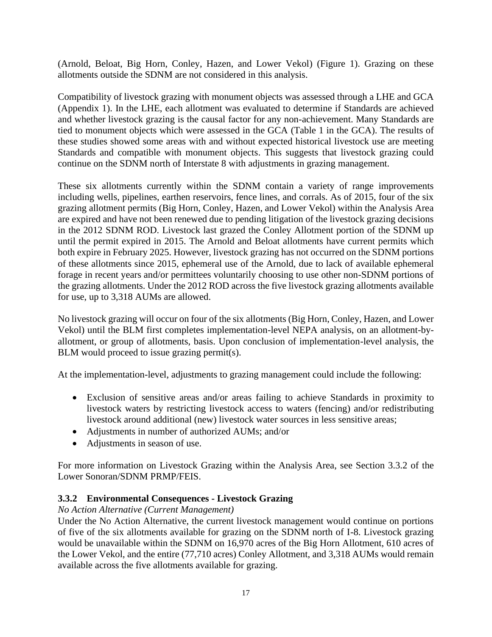(Arnold, Beloat, Big Horn, Conley, Hazen, and Lower Vekol) (Figure 1). Grazing on these allotments outside the SDNM are not considered in this analysis.

Compatibility of livestock grazing with monument objects was assessed through a LHE and GCA (Appendix 1). In the LHE, each allotment was evaluated to determine if Standards are achieved and whether livestock grazing is the causal factor for any non-achievement. Many Standards are tied to monument objects which were assessed in the GCA (Table 1 in the GCA). The results of these studies showed some areas with and without expected historical livestock use are meeting Standards and compatible with monument objects. This suggests that livestock grazing could continue on the SDNM north of Interstate 8 with adjustments in grazing management.

These six allotments currently within the SDNM contain a variety of range improvements including wells, pipelines, earthen reservoirs, fence lines, and corrals. As of 2015, four of the six grazing allotment permits (Big Horn, Conley, Hazen, and Lower Vekol) within the Analysis Area are expired and have not been renewed due to pending litigation of the livestock grazing decisions in the 2012 SDNM ROD. Livestock last grazed the Conley Allotment portion of the SDNM up until the permit expired in 2015. The Arnold and Beloat allotments have current permits which both expire in February 2025. However, livestock grazing has not occurred on the SDNM portions of these allotments since 2015, ephemeral use of the Arnold, due to lack of available ephemeral forage in recent years and/or permittees voluntarily choosing to use other non-SDNM portions of the grazing allotments. Under the 2012 ROD across the five livestock grazing allotments available for use, up to 3,318 AUMs are allowed.

No livestock grazing will occur on four of the six allotments (Big Horn, Conley, Hazen, and Lower Vekol) until the BLM first completes implementation-level NEPA analysis, on an allotment-byallotment, or group of allotments, basis. Upon conclusion of implementation-level analysis, the BLM would proceed to issue grazing permit(s).

At the implementation-level, adjustments to grazing management could include the following:

- Exclusion of sensitive areas and/or areas failing to achieve Standards in proximity to livestock waters by restricting livestock access to waters (fencing) and/or redistributing livestock around additional (new) livestock water sources in less sensitive areas;
- Adjustments in number of authorized AUMs; and/or
- Adjustments in season of use.

For more information on Livestock Grazing within the Analysis Area, see Section 3.3.2 of the Lower Sonoran/SDNM PRMP/FEIS.

## <span id="page-16-0"></span>**3.3.2 Environmental Consequences - Livestock Grazing**

## *No Action Alternative (Current Management)*

Under the No Action Alternative, the current livestock management would continue on portions of five of the six allotments available for grazing on the SDNM north of I-8. Livestock grazing would be unavailable within the SDNM on 16,970 acres of the Big Horn Allotment, 610 acres of the Lower Vekol, and the entire (77,710 acres) Conley Allotment, and 3,318 AUMs would remain available across the five allotments available for grazing.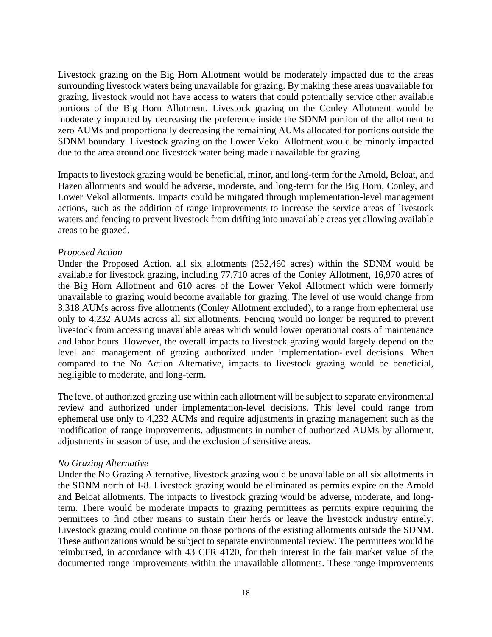Livestock grazing on the Big Horn Allotment would be moderately impacted due to the areas surrounding livestock waters being unavailable for grazing. By making these areas unavailable for grazing, livestock would not have access to waters that could potentially service other available portions of the Big Horn Allotment. Livestock grazing on the Conley Allotment would be moderately impacted by decreasing the preference inside the SDNM portion of the allotment to zero AUMs and proportionally decreasing the remaining AUMs allocated for portions outside the SDNM boundary. Livestock grazing on the Lower Vekol Allotment would be minorly impacted due to the area around one livestock water being made unavailable for grazing.

Impacts to livestock grazing would be beneficial, minor, and long-term for the Arnold, Beloat, and Hazen allotments and would be adverse, moderate, and long-term for the Big Horn, Conley, and Lower Vekol allotments. Impacts could be mitigated through implementation-level management actions, such as the addition of range improvements to increase the service areas of livestock waters and fencing to prevent livestock from drifting into unavailable areas yet allowing available areas to be grazed.

## *Proposed Action*

Under the Proposed Action, all six allotments (252,460 acres) within the SDNM would be available for livestock grazing, including 77,710 acres of the Conley Allotment, 16,970 acres of the Big Horn Allotment and 610 acres of the Lower Vekol Allotment which were formerly unavailable to grazing would become available for grazing. The level of use would change from 3,318 AUMs across five allotments (Conley Allotment excluded), to a range from ephemeral use only to 4,232 AUMs across all six allotments. Fencing would no longer be required to prevent livestock from accessing unavailable areas which would lower operational costs of maintenance and labor hours. However, the overall impacts to livestock grazing would largely depend on the level and management of grazing authorized under implementation-level decisions. When compared to the No Action Alternative, impacts to livestock grazing would be beneficial, negligible to moderate, and long-term.

The level of authorized grazing use within each allotment will be subject to separate environmental review and authorized under implementation-level decisions. This level could range from ephemeral use only to 4,232 AUMs and require adjustments in grazing management such as the modification of range improvements, adjustments in number of authorized AUMs by allotment, adjustments in season of use, and the exclusion of sensitive areas.

#### *No Grazing Alternative*

Under the No Grazing Alternative, livestock grazing would be unavailable on all six allotments in the SDNM north of I-8. Livestock grazing would be eliminated as permits expire on the Arnold and Beloat allotments. The impacts to livestock grazing would be adverse, moderate, and longterm. There would be moderate impacts to grazing permittees as permits expire requiring the permittees to find other means to sustain their herds or leave the livestock industry entirely. Livestock grazing could continue on those portions of the existing allotments outside the SDNM. These authorizations would be subject to separate environmental review. The permittees would be reimbursed, in accordance with 43 CFR 4120, for their interest in the fair market value of the documented range improvements within the unavailable allotments. These range improvements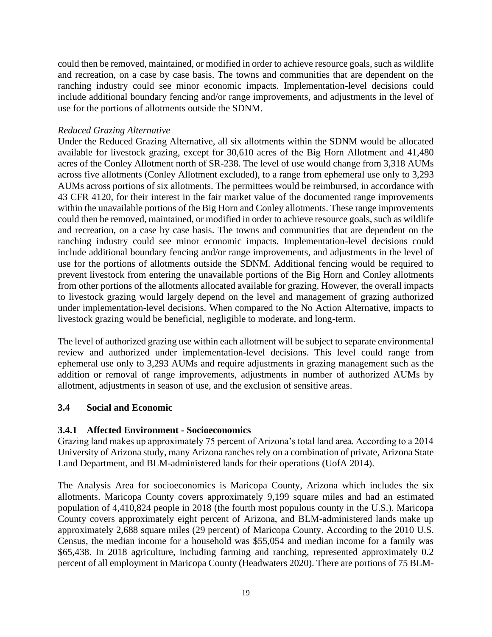could then be removed, maintained, or modified in order to achieve resource goals, such as wildlife and recreation, on a case by case basis. The towns and communities that are dependent on the ranching industry could see minor economic impacts. Implementation-level decisions could include additional boundary fencing and/or range improvements, and adjustments in the level of use for the portions of allotments outside the SDNM.

## *Reduced Grazing Alternative*

Under the Reduced Grazing Alternative, all six allotments within the SDNM would be allocated available for livestock grazing, except for 30,610 acres of the Big Horn Allotment and 41,480 acres of the Conley Allotment north of SR-238. The level of use would change from 3,318 AUMs across five allotments (Conley Allotment excluded), to a range from ephemeral use only to 3,293 AUMs across portions of six allotments. The permittees would be reimbursed, in accordance with 43 CFR 4120, for their interest in the fair market value of the documented range improvements within the unavailable portions of the Big Horn and Conley allotments. These range improvements could then be removed, maintained, or modified in order to achieve resource goals, such as wildlife and recreation, on a case by case basis. The towns and communities that are dependent on the ranching industry could see minor economic impacts. Implementation-level decisions could include additional boundary fencing and/or range improvements, and adjustments in the level of use for the portions of allotments outside the SDNM. Additional fencing would be required to prevent livestock from entering the unavailable portions of the Big Horn and Conley allotments from other portions of the allotments allocated available for grazing. However, the overall impacts to livestock grazing would largely depend on the level and management of grazing authorized under implementation-level decisions. When compared to the No Action Alternative, impacts to livestock grazing would be beneficial, negligible to moderate, and long-term.

The level of authorized grazing use within each allotment will be subject to separate environmental review and authorized under implementation-level decisions. This level could range from ephemeral use only to 3,293 AUMs and require adjustments in grazing management such as the addition or removal of range improvements, adjustments in number of authorized AUMs by allotment, adjustments in season of use, and the exclusion of sensitive areas.

## <span id="page-18-0"></span>**3.4 Social and Economic**

## <span id="page-18-1"></span>**3.4.1 Affected Environment - Socioeconomics**

Grazing land makes up approximately 75 percent of Arizona's total land area. According to a 2014 University of Arizona study, many Arizona ranches rely on a combination of private, Arizona State Land Department, and BLM-administered lands for their operations (UofA 2014).

The Analysis Area for socioeconomics is Maricopa County, Arizona which includes the six allotments. Maricopa County covers approximately 9,199 square miles and had an estimated population of 4,410,824 people in 2018 (the fourth most populous county in the U.S.). Maricopa County covers approximately eight percent of Arizona, and BLM-administered lands make up approximately 2,688 square miles (29 percent) of Maricopa County. According to the 2010 U.S. Census, the median income for a household was \$55,054 and median income for a family was \$65,438. In 2018 agriculture, including farming and ranching, represented approximately 0.2 percent of all employment in Maricopa County (Headwaters 2020). There are portions of 75 BLM-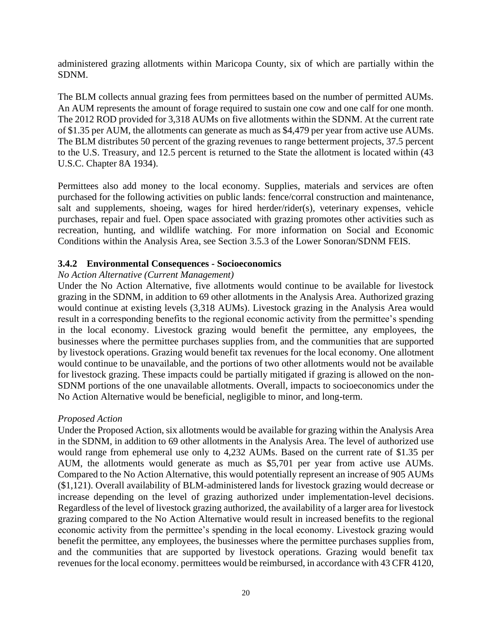administered grazing allotments within Maricopa County, six of which are partially within the SDNM.

The BLM collects annual grazing fees from permittees based on the number of permitted AUMs. An AUM represents the amount of forage required to sustain one cow and one calf for one month. The 2012 ROD provided for 3,318 AUMs on five allotments within the SDNM. At the current rate of \$1.35 per AUM, the allotments can generate as much as \$4,479 per year from active use AUMs. The BLM distributes 50 percent of the grazing revenues to range betterment projects, 37.5 percent to the U.S. Treasury, and 12.5 percent is returned to the State the allotment is located within (43 U.S.C. Chapter 8A 1934).

Permittees also add money to the local economy. Supplies, materials and services are often purchased for the following activities on public lands: fence/corral construction and maintenance, salt and supplements, shoeing, wages for hired herder/rider(s), veterinary expenses, vehicle purchases, repair and fuel. Open space associated with grazing promotes other activities such as recreation, hunting, and wildlife watching. For more information on Social and Economic Conditions within the Analysis Area, see Section 3.5.3 of the Lower Sonoran/SDNM FEIS.

## <span id="page-19-0"></span>**3.4.2 Environmental Consequences - Socioeconomics**

## *No Action Alternative (Current Management)*

Under the No Action Alternative, five allotments would continue to be available for livestock grazing in the SDNM, in addition to 69 other allotments in the Analysis Area. Authorized grazing would continue at existing levels (3,318 AUMs). Livestock grazing in the Analysis Area would result in a corresponding benefits to the regional economic activity from the permittee's spending in the local economy. Livestock grazing would benefit the permittee, any employees, the businesses where the permittee purchases supplies from, and the communities that are supported by livestock operations. Grazing would benefit tax revenues for the local economy. One allotment would continue to be unavailable, and the portions of two other allotments would not be available for livestock grazing. These impacts could be partially mitigated if grazing is allowed on the non-SDNM portions of the one unavailable allotments. Overall, impacts to socioeconomics under the No Action Alternative would be beneficial, negligible to minor, and long-term.

## *Proposed Action*

Under the Proposed Action, six allotments would be available for grazing within the Analysis Area in the SDNM, in addition to 69 other allotments in the Analysis Area. The level of authorized use would range from ephemeral use only to 4,232 AUMs. Based on the current rate of \$1.35 per AUM, the allotments would generate as much as \$5,701 per year from active use AUMs. Compared to the No Action Alternative, this would potentially represent an increase of 905 AUMs (\$1,121). Overall availability of BLM-administered lands for livestock grazing would decrease or increase depending on the level of grazing authorized under implementation-level decisions. Regardless of the level of livestock grazing authorized, the availability of a larger area for livestock grazing compared to the No Action Alternative would result in increased benefits to the regional economic activity from the permittee's spending in the local economy. Livestock grazing would benefit the permittee, any employees, the businesses where the permittee purchases supplies from, and the communities that are supported by livestock operations. Grazing would benefit tax revenues for the local economy. permittees would be reimbursed, in accordance with 43 CFR 4120,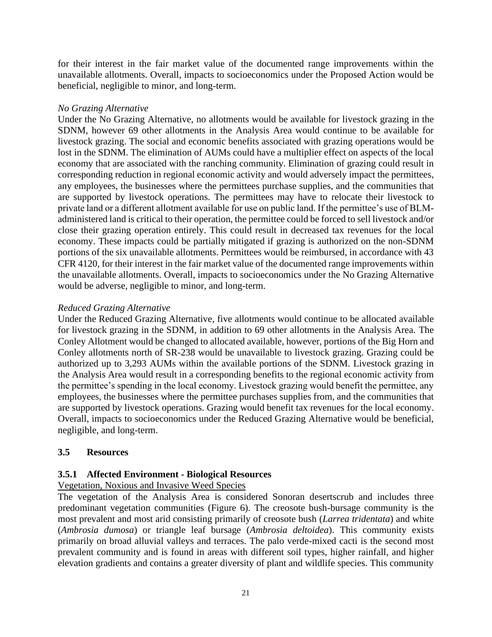for their interest in the fair market value of the documented range improvements within the unavailable allotments. Overall, impacts to socioeconomics under the Proposed Action would be beneficial, negligible to minor, and long-term.

## *No Grazing Alternative*

Under the No Grazing Alternative, no allotments would be available for livestock grazing in the SDNM, however 69 other allotments in the Analysis Area would continue to be available for livestock grazing. The social and economic benefits associated with grazing operations would be lost in the SDNM. The elimination of AUMs could have a multiplier effect on aspects of the local economy that are associated with the ranching community. Elimination of grazing could result in corresponding reduction in regional economic activity and would adversely impact the permittees, any employees, the businesses where the permittees purchase supplies, and the communities that are supported by livestock operations. The permittees may have to relocate their livestock to private land or a different allotment available for use on public land. If the permittee's use of BLMadministered land is critical to their operation, the permittee could be forced to sell livestock and/or close their grazing operation entirely. This could result in decreased tax revenues for the local economy. These impacts could be partially mitigated if grazing is authorized on the non-SDNM portions of the six unavailable allotments. Permittees would be reimbursed, in accordance with 43 CFR 4120, for their interest in the fair market value of the documented range improvements within the unavailable allotments. Overall, impacts to socioeconomics under the No Grazing Alternative would be adverse, negligible to minor, and long-term.

## *Reduced Grazing Alternative*

Under the Reduced Grazing Alternative, five allotments would continue to be allocated available for livestock grazing in the SDNM, in addition to 69 other allotments in the Analysis Area. The Conley Allotment would be changed to allocated available, however, portions of the Big Horn and Conley allotments north of SR-238 would be unavailable to livestock grazing. Grazing could be authorized up to 3,293 AUMs within the available portions of the SDNM. Livestock grazing in the Analysis Area would result in a corresponding benefits to the regional economic activity from the permittee's spending in the local economy. Livestock grazing would benefit the permittee, any employees, the businesses where the permittee purchases supplies from, and the communities that are supported by livestock operations. Grazing would benefit tax revenues for the local economy. Overall, impacts to socioeconomics under the Reduced Grazing Alternative would be beneficial, negligible, and long-term.

## <span id="page-20-0"></span>**3.5 Resources**

## <span id="page-20-1"></span>**3.5.1 Affected Environment - Biological Resources**

## Vegetation, Noxious and Invasive Weed Species

The vegetation of the Analysis Area is considered Sonoran desertscrub and includes three predominant vegetation communities (Figure 6). The creosote bush-bursage community is the most prevalent and most arid consisting primarily of creosote bush (*Larrea tridentata*) and white (*Ambrosia dumosa*) or triangle leaf bursage (*Ambrosia deltoidea*). This community exists primarily on broad alluvial valleys and terraces. The palo verde-mixed cacti is the second most prevalent community and is found in areas with different soil types, higher rainfall, and higher elevation gradients and contains a greater diversity of plant and wildlife species. This community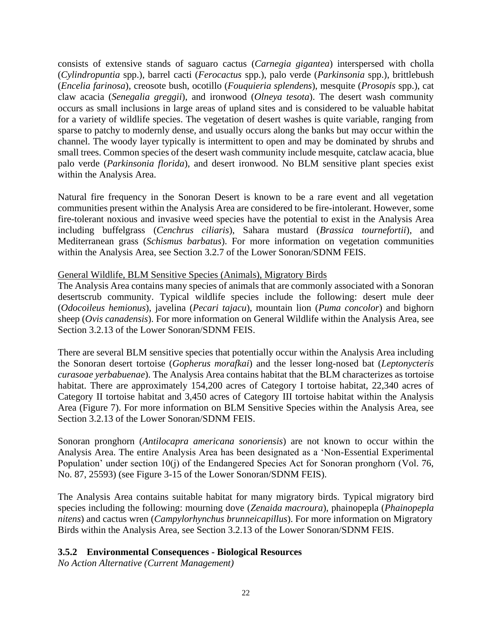consists of extensive stands of saguaro cactus (*Carnegia gigantea*) interspersed with cholla (*Cylindropuntia* spp.), barrel cacti (*Ferocactus* spp.), palo verde (*Parkinsonia* spp.), brittlebush (*Encelia farinosa*), creosote bush, ocotillo (*Fouquieria splendens*), mesquite (*Prosopis* spp.), cat claw acacia (*Senegalia greggii*), and ironwood (*Olneya tesota*). The desert wash community occurs as small inclusions in large areas of upland sites and is considered to be valuable habitat for a variety of wildlife species. The vegetation of desert washes is quite variable, ranging from sparse to patchy to modernly dense, and usually occurs along the banks but may occur within the channel. The woody layer typically is intermittent to open and may be dominated by shrubs and small trees. Common species of the desert wash community include mesquite, catclaw acacia, blue palo verde (*Parkinsonia florida*), and desert ironwood. No BLM sensitive plant species exist within the Analysis Area.

Natural fire frequency in the Sonoran Desert is known to be a rare event and all vegetation communities present within the Analysis Area are considered to be fire-intolerant. However, some fire-tolerant noxious and invasive weed species have the potential to exist in the Analysis Area including buffelgrass (*Cenchrus ciliaris*), Sahara mustard (*Brassica tournefortii*), and Mediterranean grass (*Schismus barbatus*). For more information on vegetation communities within the Analysis Area, see Section 3.2.7 of the Lower Sonoran/SDNM FEIS.

## General Wildlife, BLM Sensitive Species (Animals), Migratory Birds

The Analysis Area contains many species of animals that are commonly associated with a Sonoran desertscrub community. Typical wildlife species include the following: desert mule deer (*Odocoileus hemionus*), javelina (*Pecari tajacu*), mountain lion (*Puma concolor*) and bighorn sheep (*Ovis canadensis*). For more information on General Wildlife within the Analysis Area, see Section 3.2.13 of the Lower Sonoran/SDNM FEIS.

There are several BLM sensitive species that potentially occur within the Analysis Area including the Sonoran desert tortoise (*Gopherus morafkai*) and the lesser long-nosed bat (*Leptonycteris curasoae yerbabuenae*). The Analysis Area contains habitat that the BLM characterizes as tortoise habitat. There are approximately 154,200 acres of Category I tortoise habitat, 22,340 acres of Category II tortoise habitat and 3,450 acres of Category III tortoise habitat within the Analysis Area (Figure 7). For more information on BLM Sensitive Species within the Analysis Area, see Section 3.2.13 of the Lower Sonoran/SDNM FEIS.

Sonoran pronghorn (*Antilocapra americana sonoriensis*) are not known to occur within the Analysis Area. The entire Analysis Area has been designated as a 'Non-Essential Experimental Population' under section 10(j) of the Endangered Species Act for Sonoran pronghorn (Vol. 76, No. 87, 25593) (see Figure 3-15 of the Lower Sonoran/SDNM FEIS).

The Analysis Area contains suitable habitat for many migratory birds. Typical migratory bird species including the following: mourning dove (*Zenaida macroura*), phainopepla (*Phainopepla nitens*) and cactus wren (*Campylorhynchus brunneicapillus*). For more information on Migratory Birds within the Analysis Area, see Section 3.2.13 of the Lower Sonoran/SDNM FEIS.

## <span id="page-21-0"></span>**3.5.2 Environmental Consequences - Biological Resources**

*No Action Alternative (Current Management)*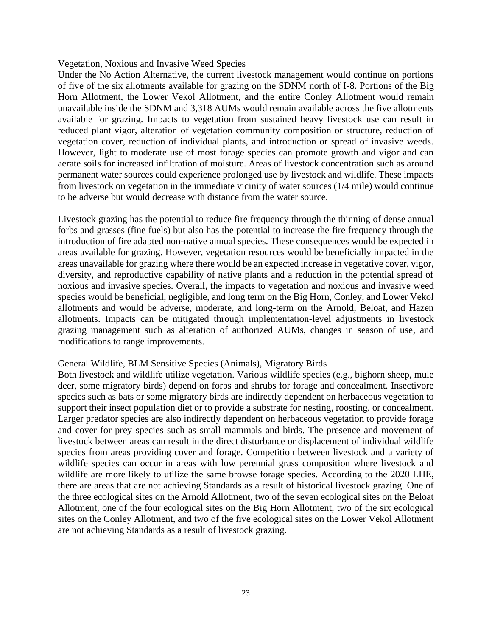#### Vegetation, Noxious and Invasive Weed Species

Under the No Action Alternative, the current livestock management would continue on portions of five of the six allotments available for grazing on the SDNM north of I-8. Portions of the Big Horn Allotment, the Lower Vekol Allotment, and the entire Conley Allotment would remain unavailable inside the SDNM and 3,318 AUMs would remain available across the five allotments available for grazing. Impacts to vegetation from sustained heavy livestock use can result in reduced plant vigor, alteration of vegetation community composition or structure, reduction of vegetation cover, reduction of individual plants, and introduction or spread of invasive weeds. However, light to moderate use of most forage species can promote growth and vigor and can aerate soils for increased infiltration of moisture. Areas of livestock concentration such as around permanent water sources could experience prolonged use by livestock and wildlife. These impacts from livestock on vegetation in the immediate vicinity of water sources (1/4 mile) would continue to be adverse but would decrease with distance from the water source.

Livestock grazing has the potential to reduce fire frequency through the thinning of dense annual forbs and grasses (fine fuels) but also has the potential to increase the fire frequency through the introduction of fire adapted non-native annual species. These consequences would be expected in areas available for grazing. However, vegetation resources would be beneficially impacted in the areas unavailable for grazing where there would be an expected increase in vegetative cover, vigor, diversity, and reproductive capability of native plants and a reduction in the potential spread of noxious and invasive species. Overall, the impacts to vegetation and noxious and invasive weed species would be beneficial, negligible, and long term on the Big Horn, Conley, and Lower Vekol allotments and would be adverse, moderate, and long-term on the Arnold, Beloat, and Hazen allotments. Impacts can be mitigated through implementation-level adjustments in livestock grazing management such as alteration of authorized AUMs, changes in season of use, and modifications to range improvements.

#### General Wildlife, BLM Sensitive Species (Animals), Migratory Birds

Both livestock and wildlife utilize vegetation. Various wildlife species (e.g., bighorn sheep, mule deer, some migratory birds) depend on forbs and shrubs for forage and concealment. Insectivore species such as bats or some migratory birds are indirectly dependent on herbaceous vegetation to support their insect population diet or to provide a substrate for nesting, roosting, or concealment. Larger predator species are also indirectly dependent on herbaceous vegetation to provide forage and cover for prey species such as small mammals and birds. The presence and movement of livestock between areas can result in the direct disturbance or displacement of individual wildlife species from areas providing cover and forage. Competition between livestock and a variety of wildlife species can occur in areas with low perennial grass composition where livestock and wildlife are more likely to utilize the same browse forage species. According to the 2020 LHE, there are areas that are not achieving Standards as a result of historical livestock grazing. One of the three ecological sites on the Arnold Allotment, two of the seven ecological sites on the Beloat Allotment, one of the four ecological sites on the Big Horn Allotment, two of the six ecological sites on the Conley Allotment, and two of the five ecological sites on the Lower Vekol Allotment are not achieving Standards as a result of livestock grazing.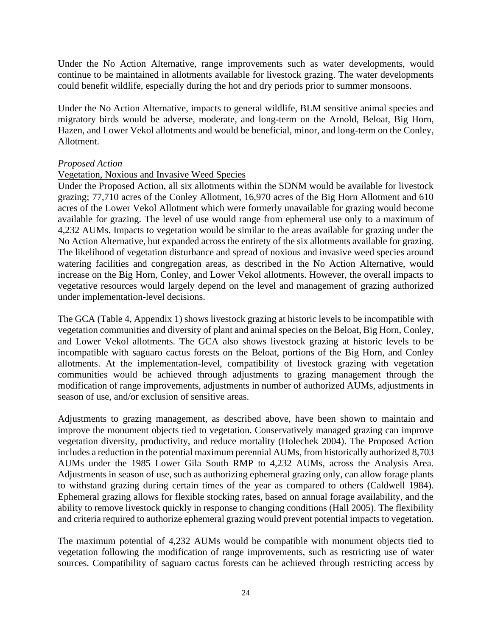Under the No Action Alternative, range improvements such as water developments, would continue to be maintained in allotments available for livestock grazing. The water developments could benefit wildlife, especially during the hot and dry periods prior to summer monsoons.

Under the No Action Alternative, impacts to general wildlife, BLM sensitive animal species and migratory birds would be adverse, moderate, and long-term on the Arnold, Beloat, Big Horn, Hazen, and Lower Vekol allotments and would be beneficial, minor, and long-term on the Conley, Allotment.

#### *Proposed Action*

## Vegetation, Noxious and Invasive Weed Species

Under the Proposed Action, all six allotments within the SDNM would be available for livestock grazing; 77,710 acres of the Conley Allotment, 16,970 acres of the Big Horn Allotment and 610 acres of the Lower Vekol Allotment which were formerly unavailable for grazing would become available for grazing. The level of use would range from ephemeral use only to a maximum of 4,232 AUMs. Impacts to vegetation would be similar to the areas available for grazing under the No Action Alternative, but expanded across the entirety of the six allotments available for grazing. The likelihood of vegetation disturbance and spread of noxious and invasive weed species around watering facilities and congregation areas, as described in the No Action Alternative, would increase on the Big Horn, Conley, and Lower Vekol allotments. However, the overall impacts to vegetative resources would largely depend on the level and management of grazing authorized under implementation-level decisions.

The GCA (Table 4, Appendix 1) shows livestock grazing at historic levels to be incompatible with vegetation communities and diversity of plant and animal species on the Beloat, Big Horn, Conley, and Lower Vekol allotments. The GCA also shows livestock grazing at historic levels to be incompatible with saguaro cactus forests on the Beloat, portions of the Big Horn, and Conley allotments. At the implementation-level, compatibility of livestock grazing with vegetation communities would be achieved through adjustments to grazing management through the modification of range improvements, adjustments in number of authorized AUMs, adjustments in season of use, and/or exclusion of sensitive areas.

Adjustments to grazing management, as described above, have been shown to maintain and improve the monument objects tied to vegetation. Conservatively managed grazing can improve vegetation diversity, productivity, and reduce mortality (Holechek 2004). The Proposed Action includes a reduction in the potential maximum perennial AUMs, from historically authorized 8,703 AUMs under the 1985 Lower Gila South RMP to 4,232 AUMs, across the Analysis Area. Adjustments in season of use, such as authorizing ephemeral grazing only, can allow forage plants to withstand grazing during certain times of the year as compared to others (Caldwell 1984). Ephemeral grazing allows for flexible stocking rates, based on annual forage availability, and the ability to remove livestock quickly in response to changing conditions (Hall 2005). The flexibility and criteria required to authorize ephemeral grazing would prevent potential impacts to vegetation.

The maximum potential of 4,232 AUMs would be compatible with monument objects tied to vegetation following the modification of range improvements, such as restricting use of water sources. Compatibility of saguaro cactus forests can be achieved through restricting access by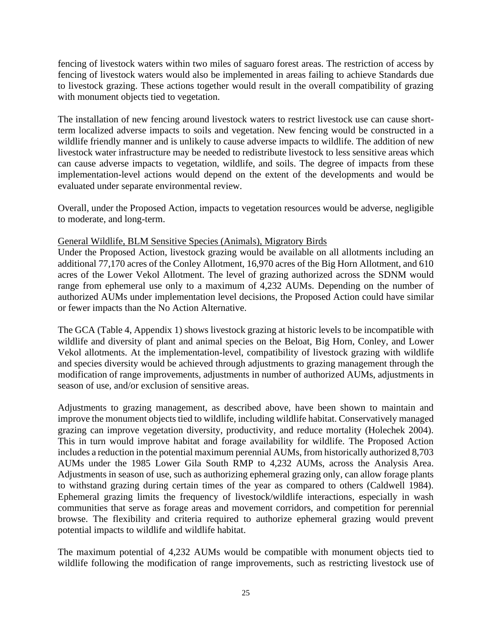fencing of livestock waters within two miles of saguaro forest areas. The restriction of access by fencing of livestock waters would also be implemented in areas failing to achieve Standards due to livestock grazing. These actions together would result in the overall compatibility of grazing with monument objects tied to vegetation.

The installation of new fencing around livestock waters to restrict livestock use can cause shortterm localized adverse impacts to soils and vegetation. New fencing would be constructed in a wildlife friendly manner and is unlikely to cause adverse impacts to wildlife. The addition of new livestock water infrastructure may be needed to redistribute livestock to less sensitive areas which can cause adverse impacts to vegetation, wildlife, and soils. The degree of impacts from these implementation-level actions would depend on the extent of the developments and would be evaluated under separate environmental review.

Overall, under the Proposed Action, impacts to vegetation resources would be adverse, negligible to moderate, and long-term.

## General Wildlife, BLM Sensitive Species (Animals), Migratory Birds

Under the Proposed Action, livestock grazing would be available on all allotments including an additional 77,170 acres of the Conley Allotment, 16,970 acres of the Big Horn Allotment, and 610 acres of the Lower Vekol Allotment. The level of grazing authorized across the SDNM would range from ephemeral use only to a maximum of 4,232 AUMs. Depending on the number of authorized AUMs under implementation level decisions, the Proposed Action could have similar or fewer impacts than the No Action Alternative.

The GCA (Table 4, Appendix 1) shows livestock grazing at historic levels to be incompatible with wildlife and diversity of plant and animal species on the Beloat, Big Horn, Conley, and Lower Vekol allotments. At the implementation-level, compatibility of livestock grazing with wildlife and species diversity would be achieved through adjustments to grazing management through the modification of range improvements, adjustments in number of authorized AUMs, adjustments in season of use, and/or exclusion of sensitive areas.

Adjustments to grazing management, as described above, have been shown to maintain and improve the monument objects tied to wildlife, including wildlife habitat. Conservatively managed grazing can improve vegetation diversity, productivity, and reduce mortality (Holechek 2004). This in turn would improve habitat and forage availability for wildlife. The Proposed Action includes a reduction in the potential maximum perennial AUMs, from historically authorized 8,703 AUMs under the 1985 Lower Gila South RMP to 4,232 AUMs, across the Analysis Area. Adjustments in season of use, such as authorizing ephemeral grazing only, can allow forage plants to withstand grazing during certain times of the year as compared to others (Caldwell 1984). Ephemeral grazing limits the frequency of livestock/wildlife interactions, especially in wash communities that serve as forage areas and movement corridors, and competition for perennial browse. The flexibility and criteria required to authorize ephemeral grazing would prevent potential impacts to wildlife and wildlife habitat.

The maximum potential of 4,232 AUMs would be compatible with monument objects tied to wildlife following the modification of range improvements, such as restricting livestock use of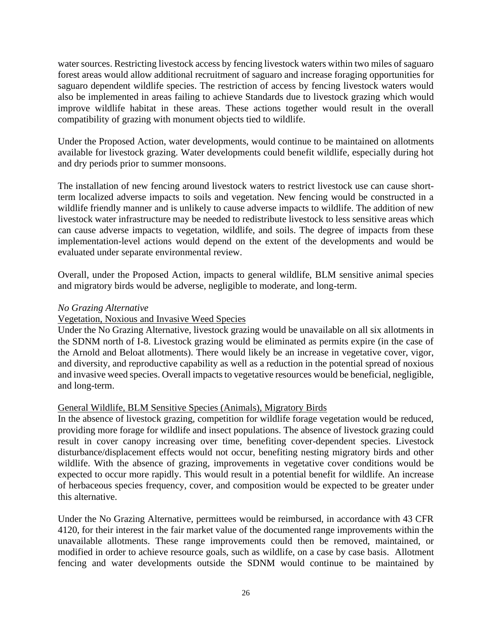water sources. Restricting livestock access by fencing livestock waters within two miles of saguaro forest areas would allow additional recruitment of saguaro and increase foraging opportunities for saguaro dependent wildlife species. The restriction of access by fencing livestock waters would also be implemented in areas failing to achieve Standards due to livestock grazing which would improve wildlife habitat in these areas. These actions together would result in the overall compatibility of grazing with monument objects tied to wildlife.

Under the Proposed Action, water developments, would continue to be maintained on allotments available for livestock grazing. Water developments could benefit wildlife, especially during hot and dry periods prior to summer monsoons.

The installation of new fencing around livestock waters to restrict livestock use can cause shortterm localized adverse impacts to soils and vegetation. New fencing would be constructed in a wildlife friendly manner and is unlikely to cause adverse impacts to wildlife. The addition of new livestock water infrastructure may be needed to redistribute livestock to less sensitive areas which can cause adverse impacts to vegetation, wildlife, and soils. The degree of impacts from these implementation-level actions would depend on the extent of the developments and would be evaluated under separate environmental review.

Overall, under the Proposed Action, impacts to general wildlife, BLM sensitive animal species and migratory birds would be adverse, negligible to moderate, and long-term.

#### *No Grazing Alternative*

#### Vegetation, Noxious and Invasive Weed Species

Under the No Grazing Alternative, livestock grazing would be unavailable on all six allotments in the SDNM north of I-8. Livestock grazing would be eliminated as permits expire (in the case of the Arnold and Beloat allotments). There would likely be an increase in vegetative cover, vigor, and diversity, and reproductive capability as well as a reduction in the potential spread of noxious and invasive weed species. Overall impacts to vegetative resources would be beneficial, negligible, and long-term.

#### General Wildlife, BLM Sensitive Species (Animals), Migratory Birds

In the absence of livestock grazing, competition for wildlife forage vegetation would be reduced, providing more forage for wildlife and insect populations. The absence of livestock grazing could result in cover canopy increasing over time, benefiting cover-dependent species. Livestock disturbance/displacement effects would not occur, benefiting nesting migratory birds and other wildlife. With the absence of grazing, improvements in vegetative cover conditions would be expected to occur more rapidly. This would result in a potential benefit for wildlife. An increase of herbaceous species frequency, cover, and composition would be expected to be greater under this alternative.

Under the No Grazing Alternative, permittees would be reimbursed, in accordance with 43 CFR 4120, for their interest in the fair market value of the documented range improvements within the unavailable allotments. These range improvements could then be removed, maintained, or modified in order to achieve resource goals, such as wildlife, on a case by case basis. Allotment fencing and water developments outside the SDNM would continue to be maintained by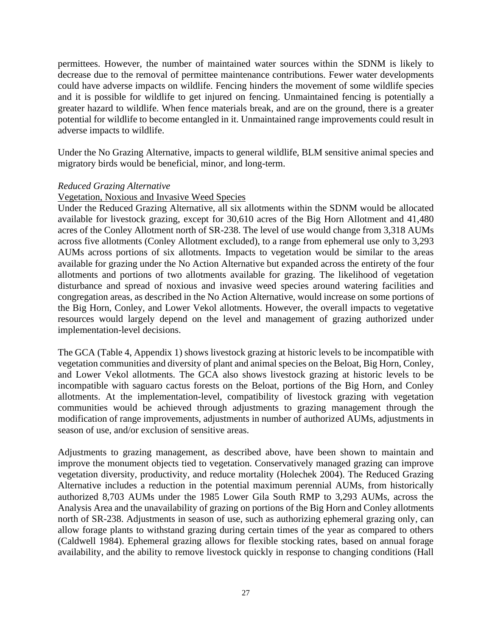permittees. However, the number of maintained water sources within the SDNM is likely to decrease due to the removal of permittee maintenance contributions. Fewer water developments could have adverse impacts on wildlife. Fencing hinders the movement of some wildlife species and it is possible for wildlife to get injured on fencing. Unmaintained fencing is potentially a greater hazard to wildlife. When fence materials break, and are on the ground, there is a greater potential for wildlife to become entangled in it. Unmaintained range improvements could result in adverse impacts to wildlife.

Under the No Grazing Alternative, impacts to general wildlife, BLM sensitive animal species and migratory birds would be beneficial, minor, and long-term.

#### *Reduced Grazing Alternative*

#### Vegetation, Noxious and Invasive Weed Species

Under the Reduced Grazing Alternative, all six allotments within the SDNM would be allocated available for livestock grazing, except for 30,610 acres of the Big Horn Allotment and 41,480 acres of the Conley Allotment north of SR-238. The level of use would change from 3,318 AUMs across five allotments (Conley Allotment excluded), to a range from ephemeral use only to 3,293 AUMs across portions of six allotments. Impacts to vegetation would be similar to the areas available for grazing under the No Action Alternative but expanded across the entirety of the four allotments and portions of two allotments available for grazing. The likelihood of vegetation disturbance and spread of noxious and invasive weed species around watering facilities and congregation areas, as described in the No Action Alternative, would increase on some portions of the Big Horn, Conley, and Lower Vekol allotments. However, the overall impacts to vegetative resources would largely depend on the level and management of grazing authorized under implementation-level decisions.

The GCA (Table 4, Appendix 1) shows livestock grazing at historic levels to be incompatible with vegetation communities and diversity of plant and animal species on the Beloat, Big Horn, Conley, and Lower Vekol allotments. The GCA also shows livestock grazing at historic levels to be incompatible with saguaro cactus forests on the Beloat, portions of the Big Horn, and Conley allotments. At the implementation-level, compatibility of livestock grazing with vegetation communities would be achieved through adjustments to grazing management through the modification of range improvements, adjustments in number of authorized AUMs, adjustments in season of use, and/or exclusion of sensitive areas.

Adjustments to grazing management, as described above, have been shown to maintain and improve the monument objects tied to vegetation. Conservatively managed grazing can improve vegetation diversity, productivity, and reduce mortality (Holechek 2004). The Reduced Grazing Alternative includes a reduction in the potential maximum perennial AUMs, from historically authorized 8,703 AUMs under the 1985 Lower Gila South RMP to 3,293 AUMs, across the Analysis Area and the unavailability of grazing on portions of the Big Horn and Conley allotments north of SR-238. Adjustments in season of use, such as authorizing ephemeral grazing only, can allow forage plants to withstand grazing during certain times of the year as compared to others (Caldwell 1984). Ephemeral grazing allows for flexible stocking rates, based on annual forage availability, and the ability to remove livestock quickly in response to changing conditions (Hall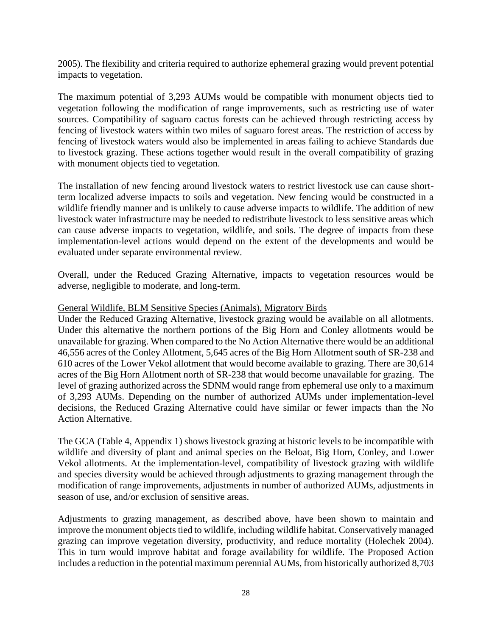2005). The flexibility and criteria required to authorize ephemeral grazing would prevent potential impacts to vegetation.

The maximum potential of 3,293 AUMs would be compatible with monument objects tied to vegetation following the modification of range improvements, such as restricting use of water sources. Compatibility of saguaro cactus forests can be achieved through restricting access by fencing of livestock waters within two miles of saguaro forest areas. The restriction of access by fencing of livestock waters would also be implemented in areas failing to achieve Standards due to livestock grazing. These actions together would result in the overall compatibility of grazing with monument objects tied to vegetation.

The installation of new fencing around livestock waters to restrict livestock use can cause shortterm localized adverse impacts to soils and vegetation. New fencing would be constructed in a wildlife friendly manner and is unlikely to cause adverse impacts to wildlife. The addition of new livestock water infrastructure may be needed to redistribute livestock to less sensitive areas which can cause adverse impacts to vegetation, wildlife, and soils. The degree of impacts from these implementation-level actions would depend on the extent of the developments and would be evaluated under separate environmental review.

Overall, under the Reduced Grazing Alternative, impacts to vegetation resources would be adverse, negligible to moderate, and long-term.

## General Wildlife, BLM Sensitive Species (Animals), Migratory Birds

Under the Reduced Grazing Alternative, livestock grazing would be available on all allotments. Under this alternative the northern portions of the Big Horn and Conley allotments would be unavailable for grazing. When compared to the No Action Alternative there would be an additional 46,556 acres of the Conley Allotment, 5,645 acres of the Big Horn Allotment south of SR-238 and 610 acres of the Lower Vekol allotment that would become available to grazing. There are 30,614 acres of the Big Horn Allotment north of SR-238 that would become unavailable for grazing. The level of grazing authorized across the SDNM would range from ephemeral use only to a maximum of 3,293 AUMs. Depending on the number of authorized AUMs under implementation-level decisions, the Reduced Grazing Alternative could have similar or fewer impacts than the No Action Alternative.

The GCA (Table 4, Appendix 1) shows livestock grazing at historic levels to be incompatible with wildlife and diversity of plant and animal species on the Beloat, Big Horn, Conley, and Lower Vekol allotments. At the implementation-level, compatibility of livestock grazing with wildlife and species diversity would be achieved through adjustments to grazing management through the modification of range improvements, adjustments in number of authorized AUMs, adjustments in season of use, and/or exclusion of sensitive areas.

Adjustments to grazing management, as described above, have been shown to maintain and improve the monument objects tied to wildlife, including wildlife habitat. Conservatively managed grazing can improve vegetation diversity, productivity, and reduce mortality (Holechek 2004). This in turn would improve habitat and forage availability for wildlife. The Proposed Action includes a reduction in the potential maximum perennial AUMs, from historically authorized 8,703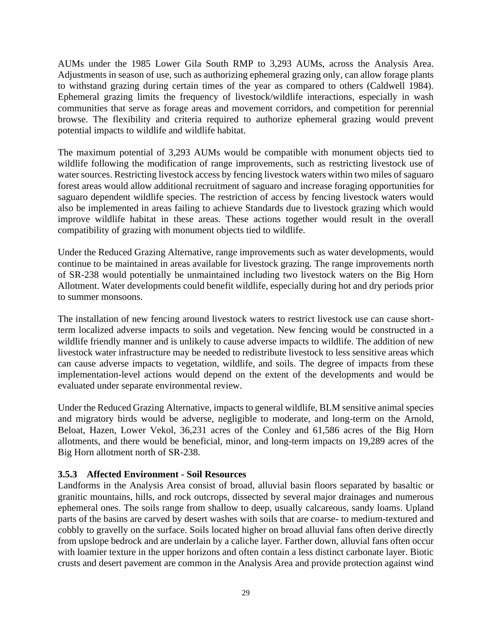AUMs under the 1985 Lower Gila South RMP to 3,293 AUMs, across the Analysis Area. Adjustments in season of use, such as authorizing ephemeral grazing only, can allow forage plants to withstand grazing during certain times of the year as compared to others (Caldwell 1984). Ephemeral grazing limits the frequency of livestock/wildlife interactions, especially in wash communities that serve as forage areas and movement corridors, and competition for perennial browse. The flexibility and criteria required to authorize ephemeral grazing would prevent potential impacts to wildlife and wildlife habitat.

The maximum potential of 3,293 AUMs would be compatible with monument objects tied to wildlife following the modification of range improvements, such as restricting livestock use of water sources. Restricting livestock access by fencing livestock waters within two miles of saguaro forest areas would allow additional recruitment of saguaro and increase foraging opportunities for saguaro dependent wildlife species. The restriction of access by fencing livestock waters would also be implemented in areas failing to achieve Standards due to livestock grazing which would improve wildlife habitat in these areas. These actions together would result in the overall compatibility of grazing with monument objects tied to wildlife.

Under the Reduced Grazing Alternative, range improvements such as water developments, would continue to be maintained in areas available for livestock grazing. The range improvements north of SR-238 would potentially be unmaintained including two livestock waters on the Big Horn Allotment. Water developments could benefit wildlife, especially during hot and dry periods prior to summer monsoons.

The installation of new fencing around livestock waters to restrict livestock use can cause shortterm localized adverse impacts to soils and vegetation. New fencing would be constructed in a wildlife friendly manner and is unlikely to cause adverse impacts to wildlife. The addition of new livestock water infrastructure may be needed to redistribute livestock to less sensitive areas which can cause adverse impacts to vegetation, wildlife, and soils. The degree of impacts from these implementation-level actions would depend on the extent of the developments and would be evaluated under separate environmental review.

Under the Reduced Grazing Alternative, impacts to general wildlife, BLM sensitive animal species and migratory birds would be adverse, negligible to moderate, and long-term on the Arnold, Beloat, Hazen, Lower Vekol, 36,231 acres of the Conley and 61,586 acres of the Big Horn allotments, and there would be beneficial, minor, and long-term impacts on 19,289 acres of the Big Horn allotment north of SR-238.

## <span id="page-28-0"></span>**3.5.3 Affected Environment - Soil Resources**

Landforms in the Analysis Area consist of broad, alluvial basin floors separated by basaltic or granitic mountains, hills, and rock outcrops, dissected by several major drainages and numerous ephemeral ones. The soils range from shallow to deep, usually calcareous, sandy loams. Upland parts of the basins are carved by desert washes with soils that are coarse- to medium-textured and cobbly to gravelly on the surface. Soils located higher on broad alluvial fans often derive directly from upslope bedrock and are underlain by a caliche layer. Farther down, alluvial fans often occur with loamier texture in the upper horizons and often contain a less distinct carbonate layer. Biotic crusts and desert pavement are common in the Analysis Area and provide protection against wind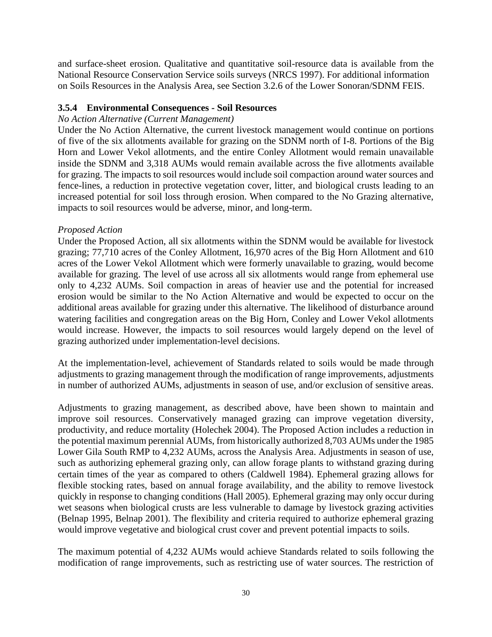and surface-sheet erosion. Qualitative and quantitative soil-resource data is available from the National Resource Conservation Service soils surveys (NRCS 1997). For additional information on Soils Resources in the Analysis Area, see Section 3.2.6 of the Lower Sonoran/SDNM FEIS.

## <span id="page-29-0"></span>**3.5.4 Environmental Consequences - Soil Resources**

## *No Action Alternative (Current Management)*

Under the No Action Alternative, the current livestock management would continue on portions of five of the six allotments available for grazing on the SDNM north of I-8. Portions of the Big Horn and Lower Vekol allotments, and the entire Conley Allotment would remain unavailable inside the SDNM and 3,318 AUMs would remain available across the five allotments available for grazing. The impacts to soil resources would include soil compaction around water sources and fence-lines, a reduction in protective vegetation cover, litter, and biological crusts leading to an increased potential for soil loss through erosion. When compared to the No Grazing alternative, impacts to soil resources would be adverse, minor, and long-term.

## *Proposed Action*

Under the Proposed Action, all six allotments within the SDNM would be available for livestock grazing; 77,710 acres of the Conley Allotment, 16,970 acres of the Big Horn Allotment and 610 acres of the Lower Vekol Allotment which were formerly unavailable to grazing, would become available for grazing. The level of use across all six allotments would range from ephemeral use only to 4,232 AUMs. Soil compaction in areas of heavier use and the potential for increased erosion would be similar to the No Action Alternative and would be expected to occur on the additional areas available for grazing under this alternative. The likelihood of disturbance around watering facilities and congregation areas on the Big Horn, Conley and Lower Vekol allotments would increase. However, the impacts to soil resources would largely depend on the level of grazing authorized under implementation-level decisions.

At the implementation-level, achievement of Standards related to soils would be made through adjustments to grazing management through the modification of range improvements, adjustments in number of authorized AUMs, adjustments in season of use, and/or exclusion of sensitive areas.

Adjustments to grazing management, as described above, have been shown to maintain and improve soil resources. Conservatively managed grazing can improve vegetation diversity, productivity, and reduce mortality (Holechek 2004). The Proposed Action includes a reduction in the potential maximum perennial AUMs, from historically authorized 8,703 AUMs under the 1985 Lower Gila South RMP to 4,232 AUMs, across the Analysis Area. Adjustments in season of use, such as authorizing ephemeral grazing only, can allow forage plants to withstand grazing during certain times of the year as compared to others (Caldwell 1984). Ephemeral grazing allows for flexible stocking rates, based on annual forage availability, and the ability to remove livestock quickly in response to changing conditions (Hall 2005). Ephemeral grazing may only occur during wet seasons when biological crusts are less vulnerable to damage by livestock grazing activities (Belnap 1995, Belnap 2001). The flexibility and criteria required to authorize ephemeral grazing would improve vegetative and biological crust cover and prevent potential impacts to soils.

The maximum potential of 4,232 AUMs would achieve Standards related to soils following the modification of range improvements, such as restricting use of water sources. The restriction of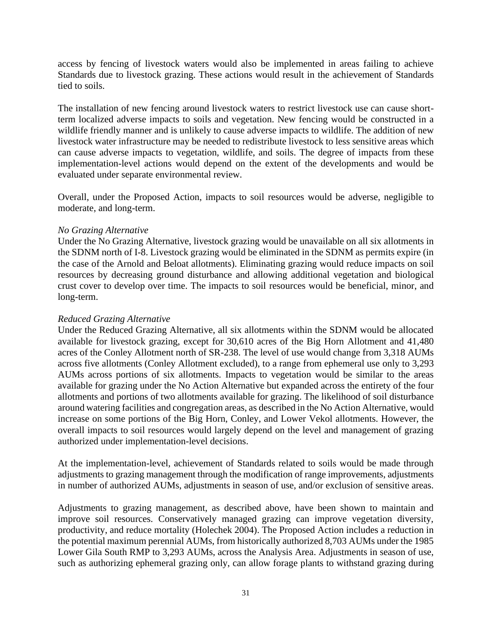access by fencing of livestock waters would also be implemented in areas failing to achieve Standards due to livestock grazing. These actions would result in the achievement of Standards tied to soils.

The installation of new fencing around livestock waters to restrict livestock use can cause shortterm localized adverse impacts to soils and vegetation. New fencing would be constructed in a wildlife friendly manner and is unlikely to cause adverse impacts to wildlife. The addition of new livestock water infrastructure may be needed to redistribute livestock to less sensitive areas which can cause adverse impacts to vegetation, wildlife, and soils. The degree of impacts from these implementation-level actions would depend on the extent of the developments and would be evaluated under separate environmental review.

Overall, under the Proposed Action, impacts to soil resources would be adverse, negligible to moderate, and long-term.

## *No Grazing Alternative*

Under the No Grazing Alternative, livestock grazing would be unavailable on all six allotments in the SDNM north of I-8. Livestock grazing would be eliminated in the SDNM as permits expire (in the case of the Arnold and Beloat allotments). Eliminating grazing would reduce impacts on soil resources by decreasing ground disturbance and allowing additional vegetation and biological crust cover to develop over time. The impacts to soil resources would be beneficial, minor, and long-term.

#### *Reduced Grazing Alternative*

Under the Reduced Grazing Alternative, all six allotments within the SDNM would be allocated available for livestock grazing, except for 30,610 acres of the Big Horn Allotment and 41,480 acres of the Conley Allotment north of SR-238. The level of use would change from 3,318 AUMs across five allotments (Conley Allotment excluded), to a range from ephemeral use only to 3,293 AUMs across portions of six allotments. Impacts to vegetation would be similar to the areas available for grazing under the No Action Alternative but expanded across the entirety of the four allotments and portions of two allotments available for grazing. The likelihood of soil disturbance around watering facilities and congregation areas, as described in the No Action Alternative, would increase on some portions of the Big Horn, Conley, and Lower Vekol allotments. However, the overall impacts to soil resources would largely depend on the level and management of grazing authorized under implementation-level decisions.

At the implementation-level, achievement of Standards related to soils would be made through adjustments to grazing management through the modification of range improvements, adjustments in number of authorized AUMs, adjustments in season of use, and/or exclusion of sensitive areas.

Adjustments to grazing management, as described above, have been shown to maintain and improve soil resources. Conservatively managed grazing can improve vegetation diversity, productivity, and reduce mortality (Holechek 2004). The Proposed Action includes a reduction in the potential maximum perennial AUMs, from historically authorized 8,703 AUMs under the 1985 Lower Gila South RMP to 3,293 AUMs, across the Analysis Area. Adjustments in season of use, such as authorizing ephemeral grazing only, can allow forage plants to withstand grazing during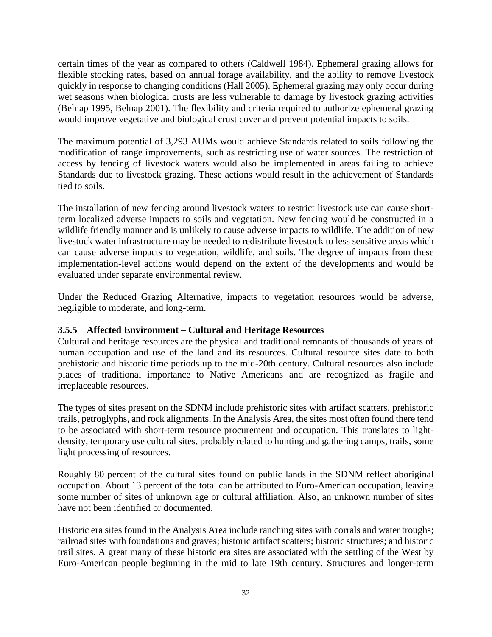certain times of the year as compared to others (Caldwell 1984). Ephemeral grazing allows for flexible stocking rates, based on annual forage availability, and the ability to remove livestock quickly in response to changing conditions (Hall 2005). Ephemeral grazing may only occur during wet seasons when biological crusts are less vulnerable to damage by livestock grazing activities (Belnap 1995, Belnap 2001). The flexibility and criteria required to authorize ephemeral grazing would improve vegetative and biological crust cover and prevent potential impacts to soils.

The maximum potential of 3,293 AUMs would achieve Standards related to soils following the modification of range improvements, such as restricting use of water sources. The restriction of access by fencing of livestock waters would also be implemented in areas failing to achieve Standards due to livestock grazing. These actions would result in the achievement of Standards tied to soils.

The installation of new fencing around livestock waters to restrict livestock use can cause shortterm localized adverse impacts to soils and vegetation. New fencing would be constructed in a wildlife friendly manner and is unlikely to cause adverse impacts to wildlife. The addition of new livestock water infrastructure may be needed to redistribute livestock to less sensitive areas which can cause adverse impacts to vegetation, wildlife, and soils. The degree of impacts from these implementation-level actions would depend on the extent of the developments and would be evaluated under separate environmental review.

Under the Reduced Grazing Alternative, impacts to vegetation resources would be adverse, negligible to moderate, and long-term.

## <span id="page-31-0"></span>**3.5.5 Affected Environment – Cultural and Heritage Resources**

Cultural and heritage resources are the physical and traditional remnants of thousands of years of human occupation and use of the land and its resources. Cultural resource sites date to both prehistoric and historic time periods up to the mid-20th century. Cultural resources also include places of traditional importance to Native Americans and are recognized as fragile and irreplaceable resources.

The types of sites present on the SDNM include prehistoric sites with artifact scatters, prehistoric trails, petroglyphs, and rock alignments. In the Analysis Area, the sites most often found there tend to be associated with short-term resource procurement and occupation. This translates to lightdensity, temporary use cultural sites, probably related to hunting and gathering camps, trails, some light processing of resources.

Roughly 80 percent of the cultural sites found on public lands in the SDNM reflect aboriginal occupation. About 13 percent of the total can be attributed to Euro-American occupation, leaving some number of sites of unknown age or cultural affiliation. Also, an unknown number of sites have not been identified or documented.

Historic era sites found in the Analysis Area include ranching sites with corrals and water troughs; railroad sites with foundations and graves; historic artifact scatters; historic structures; and historic trail sites. A great many of these historic era sites are associated with the settling of the West by Euro-American people beginning in the mid to late 19th century. Structures and longer-term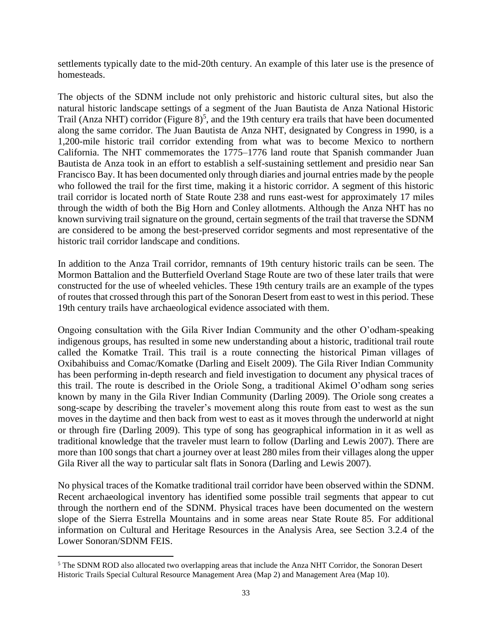settlements typically date to the mid-20th century. An example of this later use is the presence of homesteads.

The objects of the SDNM include not only prehistoric and historic cultural sites, but also the natural historic landscape settings of a segment of the Juan Bautista de Anza National Historic Trail (Anza NHT) corridor (Figure 8)<sup>5</sup>, and the 19th century era trails that have been documented along the same corridor. The Juan Bautista de Anza NHT, designated by Congress in 1990, is a 1,200-mile historic trail corridor extending from what was to become Mexico to northern California. The NHT commemorates the 1775–1776 land route that Spanish commander Juan Bautista de Anza took in an effort to establish a self-sustaining settlement and presidio near San Francisco Bay. It has been documented only through diaries and journal entries made by the people who followed the trail for the first time, making it a historic corridor. A segment of this historic trail corridor is located north of State Route 238 and runs east-west for approximately 17 miles through the width of both the Big Horn and Conley allotments. Although the Anza NHT has no known surviving trail signature on the ground, certain segments of the trail that traverse the SDNM are considered to be among the best-preserved corridor segments and most representative of the historic trail corridor landscape and conditions.

In addition to the Anza Trail corridor, remnants of 19th century historic trails can be seen. The Mormon Battalion and the Butterfield Overland Stage Route are two of these later trails that were constructed for the use of wheeled vehicles. These 19th century trails are an example of the types of routes that crossed through this part of the Sonoran Desert from east to west in this period. These 19th century trails have archaeological evidence associated with them.

Ongoing consultation with the Gila River Indian Community and the other O'odham-speaking indigenous groups, has resulted in some new understanding about a historic, traditional trail route called the Komatke Trail. This trail is a route connecting the historical Piman villages of Oxibahibuiss and Comac/Komatke (Darling and Eiselt 2009). The Gila River Indian Community has been performing in-depth research and field investigation to document any physical traces of this trail. The route is described in the Oriole Song, a traditional Akimel O'odham song series known by many in the Gila River Indian Community (Darling 2009). The Oriole song creates a song-scape by describing the traveler's movement along this route from east to west as the sun moves in the daytime and then back from west to east as it moves through the underworld at night or through fire (Darling 2009). This type of song has geographical information in it as well as traditional knowledge that the traveler must learn to follow (Darling and Lewis 2007). There are more than 100 songs that chart a journey over at least 280 miles from their villages along the upper Gila River all the way to particular salt flats in Sonora (Darling and Lewis 2007).

No physical traces of the Komatke traditional trail corridor have been observed within the SDNM. Recent archaeological inventory has identified some possible trail segments that appear to cut through the northern end of the SDNM. Physical traces have been documented on the western slope of the Sierra Estrella Mountains and in some areas near State Route 85. For additional information on Cultural and Heritage Resources in the Analysis Area, see Section 3.2.4 of the Lower Sonoran/SDNM FEIS.

<sup>&</sup>lt;sup>5</sup> The SDNM ROD also allocated two overlapping areas that include the Anza NHT Corridor, the Sonoran Desert Historic Trails Special Cultural Resource Management Area (Map 2) and Management Area (Map 10).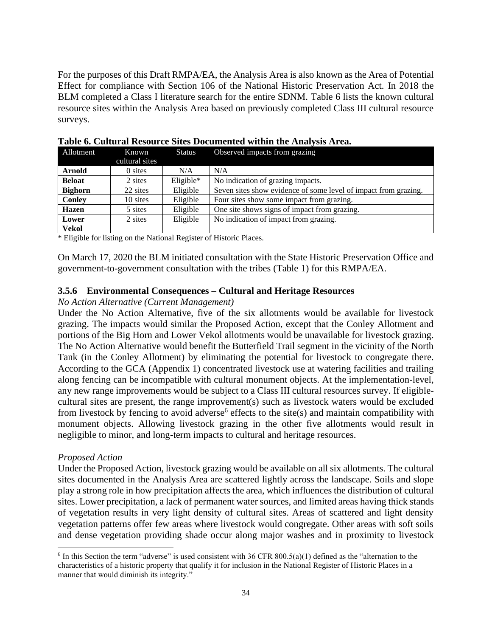For the purposes of this Draft RMPA/EA, the Analysis Area is also known as the Area of Potential Effect for compliance with Section 106 of the National Historic Preservation Act. In 2018 the BLM completed a Class I literature search for the entire SDNM. Table 6 lists the known cultural resource sites within the Analysis Area based on previously completed Class III cultural resource surveys.

| Allotment      | Known          | <b>Status</b> | Observed impacts from grazing                                   |  |
|----------------|----------------|---------------|-----------------------------------------------------------------|--|
|                | cultural sites |               |                                                                 |  |
| <b>Arnold</b>  | 0 sites        | N/A           | N/A                                                             |  |
| <b>Beloat</b>  | 2 sites        | $Eligible*$   | No indication of grazing impacts.                               |  |
| <b>Bighorn</b> | 22 sites       | Eligible      | Seven sites show evidence of some level of impact from grazing. |  |
| Conley         | 10 sites       | Eligible      | Four sites show some impact from grazing.                       |  |
| <b>Hazen</b>   | 5 sites        | Eligible      | One site shows signs of impact from grazing.                    |  |
| Lower          | 2 sites        | Eligible      | No indication of impact from grazing.                           |  |
| <b>Vekol</b>   |                |               |                                                                 |  |

**Table 6. Cultural Resource Sites Documented within the Analysis Area.**

\* Eligible for listing on the National Register of Historic Places.

On March 17, 2020 the BLM initiated consultation with the State Historic Preservation Office and government-to-government consultation with the tribes (Table 1) for this RMPA/EA.

#### <span id="page-33-0"></span>**3.5.6 Environmental Consequences – Cultural and Heritage Resources**

#### *No Action Alternative (Current Management)*

Under the No Action Alternative, five of the six allotments would be available for livestock grazing. The impacts would similar the Proposed Action, except that the Conley Allotment and portions of the Big Horn and Lower Vekol allotments would be unavailable for livestock grazing. The No Action Alternative would benefit the Butterfield Trail segment in the vicinity of the North Tank (in the Conley Allotment) by eliminating the potential for livestock to congregate there. According to the GCA (Appendix 1) concentrated livestock use at watering facilities and trailing along fencing can be incompatible with cultural monument objects. At the implementation-level, any new range improvements would be subject to a Class III cultural resources survey. If eligiblecultural sites are present, the range improvement(s) such as livestock waters would be excluded from livestock by fencing to avoid adverse<sup>6</sup> effects to the site(s) and maintain compatibility with monument objects. Allowing livestock grazing in the other five allotments would result in negligible to minor, and long-term impacts to cultural and heritage resources.

#### *Proposed Action*

Under the Proposed Action, livestock grazing would be available on all six allotments. The cultural sites documented in the Analysis Area are scattered lightly across the landscape. Soils and slope play a strong role in how precipitation affects the area, which influences the distribution of cultural sites. Lower precipitation, a lack of permanent water sources, and limited areas having thick stands of vegetation results in very light density of cultural sites. Areas of scattered and light density vegetation patterns offer few areas where livestock would congregate. Other areas with soft soils and dense vegetation providing shade occur along major washes and in proximity to livestock

 $6$  In this Section the term "adverse" is used consistent with 36 CFR 800.5(a)(1) defined as the "alternation to the characteristics of a historic property that qualify it for inclusion in the National Register of Historic Places in a manner that would diminish its integrity."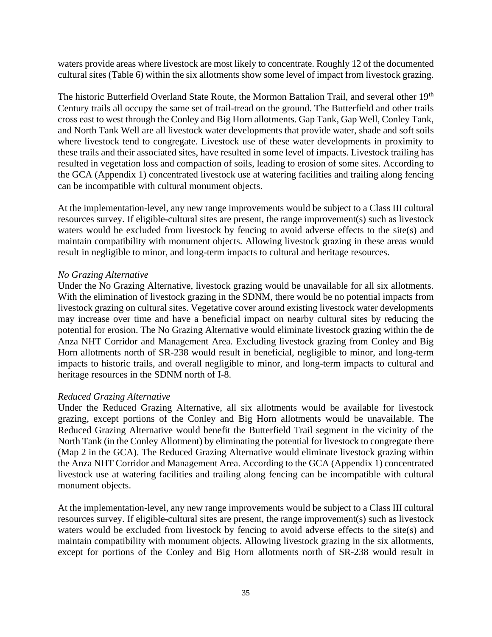waters provide areas where livestock are most likely to concentrate. Roughly 12 of the documented cultural sites (Table 6) within the six allotments show some level of impact from livestock grazing.

The historic Butterfield Overland State Route, the Mormon Battalion Trail, and several other 19<sup>th</sup> Century trails all occupy the same set of trail-tread on the ground. The Butterfield and other trails cross east to west through the Conley and Big Horn allotments. Gap Tank, Gap Well, Conley Tank, and North Tank Well are all livestock water developments that provide water, shade and soft soils where livestock tend to congregate. Livestock use of these water developments in proximity to these trails and their associated sites, have resulted in some level of impacts. Livestock trailing has resulted in vegetation loss and compaction of soils, leading to erosion of some sites. According to the GCA (Appendix 1) concentrated livestock use at watering facilities and trailing along fencing can be incompatible with cultural monument objects.

At the implementation-level, any new range improvements would be subject to a Class III cultural resources survey. If eligible-cultural sites are present, the range improvement(s) such as livestock waters would be excluded from livestock by fencing to avoid adverse effects to the site(s) and maintain compatibility with monument objects. Allowing livestock grazing in these areas would result in negligible to minor, and long-term impacts to cultural and heritage resources.

#### *No Grazing Alternative*

Under the No Grazing Alternative, livestock grazing would be unavailable for all six allotments. With the elimination of livestock grazing in the SDNM, there would be no potential impacts from livestock grazing on cultural sites. Vegetative cover around existing livestock water developments may increase over time and have a beneficial impact on nearby cultural sites by reducing the potential for erosion. The No Grazing Alternative would eliminate livestock grazing within the de Anza NHT Corridor and Management Area. Excluding livestock grazing from Conley and Big Horn allotments north of SR-238 would result in beneficial, negligible to minor, and long-term impacts to historic trails, and overall negligible to minor, and long-term impacts to cultural and heritage resources in the SDNM north of I-8.

## *Reduced Grazing Alternative*

Under the Reduced Grazing Alternative, all six allotments would be available for livestock grazing, except portions of the Conley and Big Horn allotments would be unavailable. The Reduced Grazing Alternative would benefit the Butterfield Trail segment in the vicinity of the North Tank (in the Conley Allotment) by eliminating the potential for livestock to congregate there (Map 2 in the GCA). The Reduced Grazing Alternative would eliminate livestock grazing within the Anza NHT Corridor and Management Area. According to the GCA (Appendix 1) concentrated livestock use at watering facilities and trailing along fencing can be incompatible with cultural monument objects.

At the implementation-level, any new range improvements would be subject to a Class III cultural resources survey. If eligible-cultural sites are present, the range improvement(s) such as livestock waters would be excluded from livestock by fencing to avoid adverse effects to the site(s) and maintain compatibility with monument objects. Allowing livestock grazing in the six allotments, except for portions of the Conley and Big Horn allotments north of SR-238 would result in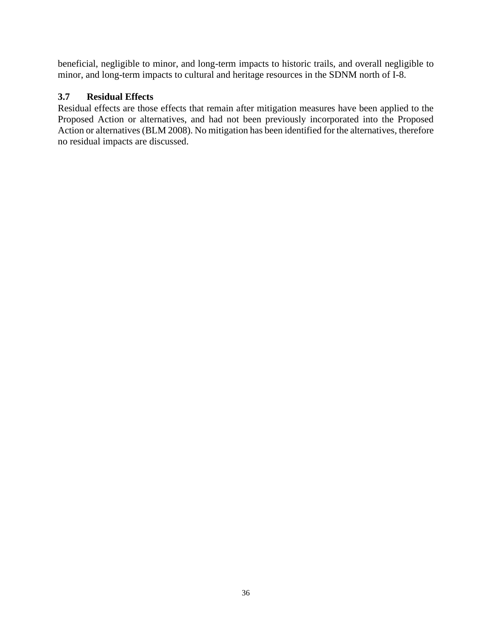beneficial, negligible to minor, and long-term impacts to historic trails, and overall negligible to minor, and long-term impacts to cultural and heritage resources in the SDNM north of I-8.

## <span id="page-35-0"></span>**3.7 Residual Effects**

Residual effects are those effects that remain after mitigation measures have been applied to the Proposed Action or alternatives, and had not been previously incorporated into the Proposed Action or alternatives (BLM 2008). No mitigation has been identified for the alternatives, therefore no residual impacts are discussed.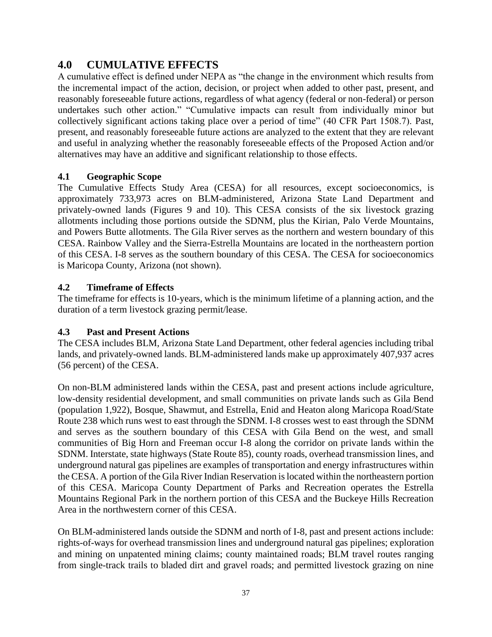## <span id="page-36-0"></span>**4.0 CUMULATIVE EFFECTS**

A cumulative effect is defined under NEPA as "the change in the environment which results from the incremental impact of the action, decision, or project when added to other past, present, and reasonably foreseeable future actions, regardless of what agency (federal or non-federal) or person undertakes such other action." "Cumulative impacts can result from individually minor but collectively significant actions taking place over a period of time" (40 CFR Part 1508.7). Past, present, and reasonably foreseeable future actions are analyzed to the extent that they are relevant and useful in analyzing whether the reasonably foreseeable effects of the Proposed Action and/or alternatives may have an additive and significant relationship to those effects.

## <span id="page-36-1"></span>**4.1 Geographic Scope**

The Cumulative Effects Study Area (CESA) for all resources, except socioeconomics, is approximately 733,973 acres on BLM-administered, Arizona State Land Department and privately-owned lands (Figures 9 and 10). This CESA consists of the six livestock grazing allotments including those portions outside the SDNM, plus the Kirian, Palo Verde Mountains, and Powers Butte allotments. The Gila River serves as the northern and western boundary of this CESA. Rainbow Valley and the Sierra-Estrella Mountains are located in the northeastern portion of this CESA. I-8 serves as the southern boundary of this CESA. The CESA for socioeconomics is Maricopa County, Arizona (not shown).

## <span id="page-36-2"></span>**4.2 Timeframe of Effects**

The timeframe for effects is 10-years, which is the minimum lifetime of a planning action, and the duration of a term livestock grazing permit/lease.

## <span id="page-36-3"></span>**4.3 Past and Present Actions**

The CESA includes BLM, Arizona State Land Department, other federal agencies including tribal lands, and privately-owned lands. BLM-administered lands make up approximately 407,937 acres (56 percent) of the CESA.

On non-BLM administered lands within the CESA, past and present actions include agriculture, low-density residential development, and small communities on private lands such as Gila Bend (population 1,922), Bosque, Shawmut, and Estrella, Enid and Heaton along Maricopa Road/State Route 238 which runs west to east through the SDNM. I-8 crosses west to east through the SDNM and serves as the southern boundary of this CESA with Gila Bend on the west, and small communities of Big Horn and Freeman occur I-8 along the corridor on private lands within the SDNM. Interstate, state highways (State Route 85), county roads, overhead transmission lines, and underground natural gas pipelines are examples of transportation and energy infrastructures within the CESA. A portion of the Gila River Indian Reservation is located within the northeastern portion of this CESA. Maricopa County Department of Parks and Recreation operates the Estrella Mountains Regional Park in the northern portion of this CESA and the Buckeye Hills Recreation Area in the northwestern corner of this CESA.

On BLM-administered lands outside the SDNM and north of I-8, past and present actions include: rights-of-ways for overhead transmission lines and underground natural gas pipelines; exploration and mining on unpatented mining claims; county maintained roads; BLM travel routes ranging from single-track trails to bladed dirt and gravel roads; and permitted livestock grazing on nine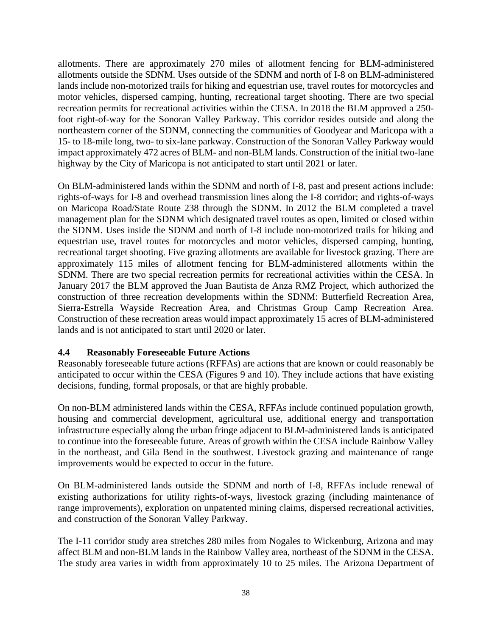allotments. There are approximately 270 miles of allotment fencing for BLM-administered allotments outside the SDNM. Uses outside of the SDNM and north of I-8 on BLM-administered lands include non-motorized trails for hiking and equestrian use, travel routes for motorcycles and motor vehicles, dispersed camping, hunting, recreational target shooting. There are two special recreation permits for recreational activities within the CESA. In 2018 the BLM approved a 250 foot right-of-way for the Sonoran Valley Parkway. This corridor resides outside and along the northeastern corner of the SDNM, connecting the communities of Goodyear and Maricopa with a 15- to 18-mile long, two- to six-lane parkway. Construction of the Sonoran Valley Parkway would impact approximately 472 acres of BLM- and non-BLM lands. Construction of the initial two-lane highway by the City of Maricopa is not anticipated to start until 2021 or later.

On BLM-administered lands within the SDNM and north of I-8, past and present actions include: rights-of-ways for I-8 and overhead transmission lines along the I-8 corridor; and rights-of-ways on Maricopa Road/State Route 238 through the SDNM. In 2012 the BLM completed a travel management plan for the SDNM which designated travel routes as open, limited or closed within the SDNM. Uses inside the SDNM and north of I-8 include non-motorized trails for hiking and equestrian use, travel routes for motorcycles and motor vehicles, dispersed camping, hunting, recreational target shooting. Five grazing allotments are available for livestock grazing. There are approximately 115 miles of allotment fencing for BLM-administered allotments within the SDNM. There are two special recreation permits for recreational activities within the CESA. In January 2017 the BLM approved the Juan Bautista de Anza RMZ Project, which authorized the construction of three recreation developments within the SDNM: Butterfield Recreation Area, Sierra-Estrella Wayside Recreation Area, and Christmas Group Camp Recreation Area. Construction of these recreation areas would impact approximately 15 acres of BLM-administered lands and is not anticipated to start until 2020 or later.

## <span id="page-37-0"></span>**4.4 Reasonably Foreseeable Future Actions**

Reasonably foreseeable future actions (RFFAs) are actions that are known or could reasonably be anticipated to occur within the CESA (Figures 9 and 10). They include actions that have existing decisions, funding, formal proposals, or that are highly probable.

On non-BLM administered lands within the CESA, RFFAs include continued population growth, housing and commercial development, agricultural use, additional energy and transportation infrastructure especially along the urban fringe adjacent to BLM-administered lands is anticipated to continue into the foreseeable future. Areas of growth within the CESA include Rainbow Valley in the northeast, and Gila Bend in the southwest. Livestock grazing and maintenance of range improvements would be expected to occur in the future.

On BLM-administered lands outside the SDNM and north of I-8, RFFAs include renewal of existing authorizations for utility rights-of-ways, livestock grazing (including maintenance of range improvements), exploration on unpatented mining claims, dispersed recreational activities, and construction of the Sonoran Valley Parkway.

The I-11 corridor study area stretches 280 miles from Nogales to Wickenburg, Arizona and may affect BLM and non-BLM lands in the Rainbow Valley area, northeast of the SDNM in the CESA. The study area varies in width from approximately 10 to 25 miles. The Arizona Department of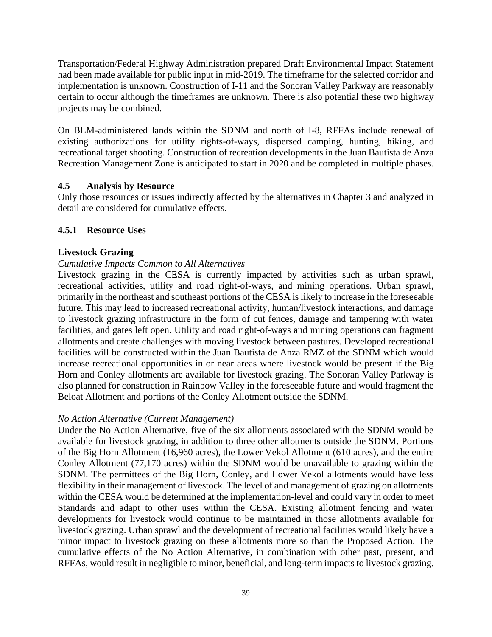Transportation/Federal Highway Administration prepared Draft Environmental Impact Statement had been made available for public input in mid-2019. The timeframe for the selected corridor and implementation is unknown. Construction of I-11 and the Sonoran Valley Parkway are reasonably certain to occur although the timeframes are unknown. There is also potential these two highway projects may be combined.

On BLM-administered lands within the SDNM and north of I-8, RFFAs include renewal of existing authorizations for utility rights-of-ways, dispersed camping, hunting, hiking, and recreational target shooting. Construction of recreation developments in the Juan Bautista de Anza Recreation Management Zone is anticipated to start in 2020 and be completed in multiple phases.

## <span id="page-38-0"></span>**4.5 Analysis by Resource**

Only those resources or issues indirectly affected by the alternatives in Chapter 3 and analyzed in detail are considered for cumulative effects.

## <span id="page-38-1"></span>**4.5.1 Resource Uses**

## **Livestock Grazing**

## *Cumulative Impacts Common to All Alternatives*

Livestock grazing in the CESA is currently impacted by activities such as urban sprawl, recreational activities, utility and road right-of-ways, and mining operations. Urban sprawl, primarily in the northeast and southeast portions of the CESA is likely to increase in the foreseeable future. This may lead to increased recreational activity, human/livestock interactions, and damage to livestock grazing infrastructure in the form of cut fences, damage and tampering with water facilities, and gates left open. Utility and road right-of-ways and mining operations can fragment allotments and create challenges with moving livestock between pastures. Developed recreational facilities will be constructed within the Juan Bautista de Anza RMZ of the SDNM which would increase recreational opportunities in or near areas where livestock would be present if the Big Horn and Conley allotments are available for livestock grazing. The Sonoran Valley Parkway is also planned for construction in Rainbow Valley in the foreseeable future and would fragment the Beloat Allotment and portions of the Conley Allotment outside the SDNM.

## *No Action Alternative (Current Management)*

Under the No Action Alternative, five of the six allotments associated with the SDNM would be available for livestock grazing, in addition to three other allotments outside the SDNM. Portions of the Big Horn Allotment (16,960 acres), the Lower Vekol Allotment (610 acres), and the entire Conley Allotment (77,170 acres) within the SDNM would be unavailable to grazing within the SDNM. The permittees of the Big Horn, Conley, and Lower Vekol allotments would have less flexibility in their management of livestock. The level of and management of grazing on allotments within the CESA would be determined at the implementation-level and could vary in order to meet Standards and adapt to other uses within the CESA. Existing allotment fencing and water developments for livestock would continue to be maintained in those allotments available for livestock grazing. Urban sprawl and the development of recreational facilities would likely have a minor impact to livestock grazing on these allotments more so than the Proposed Action. The cumulative effects of the No Action Alternative, in combination with other past, present, and RFFAs, would result in negligible to minor, beneficial, and long-term impacts to livestock grazing.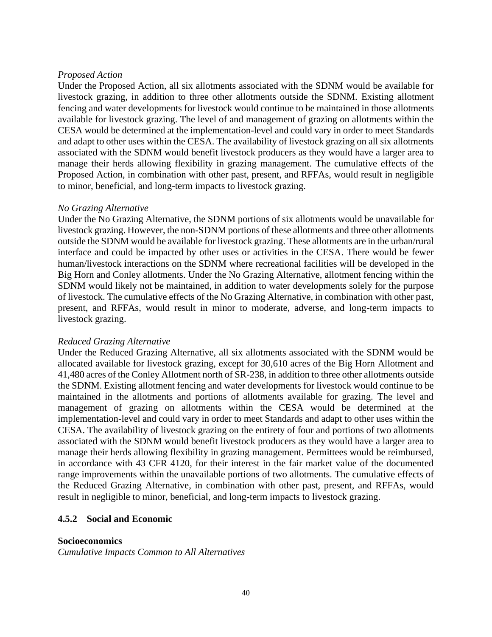#### *Proposed Action*

Under the Proposed Action, all six allotments associated with the SDNM would be available for livestock grazing, in addition to three other allotments outside the SDNM. Existing allotment fencing and water developments for livestock would continue to be maintained in those allotments available for livestock grazing. The level of and management of grazing on allotments within the CESA would be determined at the implementation-level and could vary in order to meet Standards and adapt to other uses within the CESA. The availability of livestock grazing on all six allotments associated with the SDNM would benefit livestock producers as they would have a larger area to manage their herds allowing flexibility in grazing management. The cumulative effects of the Proposed Action, in combination with other past, present, and RFFAs, would result in negligible to minor, beneficial, and long-term impacts to livestock grazing.

#### *No Grazing Alternative*

Under the No Grazing Alternative, the SDNM portions of six allotments would be unavailable for livestock grazing. However, the non-SDNM portions of these allotments and three other allotments outside the SDNM would be available for livestock grazing. These allotments are in the urban/rural interface and could be impacted by other uses or activities in the CESA. There would be fewer human/livestock interactions on the SDNM where recreational facilities will be developed in the Big Horn and Conley allotments. Under the No Grazing Alternative, allotment fencing within the SDNM would likely not be maintained, in addition to water developments solely for the purpose of livestock. The cumulative effects of the No Grazing Alternative, in combination with other past, present, and RFFAs, would result in minor to moderate, adverse, and long-term impacts to livestock grazing.

## *Reduced Grazing Alternative*

Under the Reduced Grazing Alternative, all six allotments associated with the SDNM would be allocated available for livestock grazing, except for 30,610 acres of the Big Horn Allotment and 41,480 acres of the Conley Allotment north of SR-238, in addition to three other allotments outside the SDNM. Existing allotment fencing and water developments for livestock would continue to be maintained in the allotments and portions of allotments available for grazing. The level and management of grazing on allotments within the CESA would be determined at the implementation-level and could vary in order to meet Standards and adapt to other uses within the CESA. The availability of livestock grazing on the entirety of four and portions of two allotments associated with the SDNM would benefit livestock producers as they would have a larger area to manage their herds allowing flexibility in grazing management. Permittees would be reimbursed, in accordance with 43 CFR 4120, for their interest in the fair market value of the documented range improvements within the unavailable portions of two allotments. The cumulative effects of the Reduced Grazing Alternative, in combination with other past, present, and RFFAs, would result in negligible to minor, beneficial, and long-term impacts to livestock grazing.

## <span id="page-39-0"></span>**4.5.2 Social and Economic**

## **Socioeconomics**

*Cumulative Impacts Common to All Alternatives*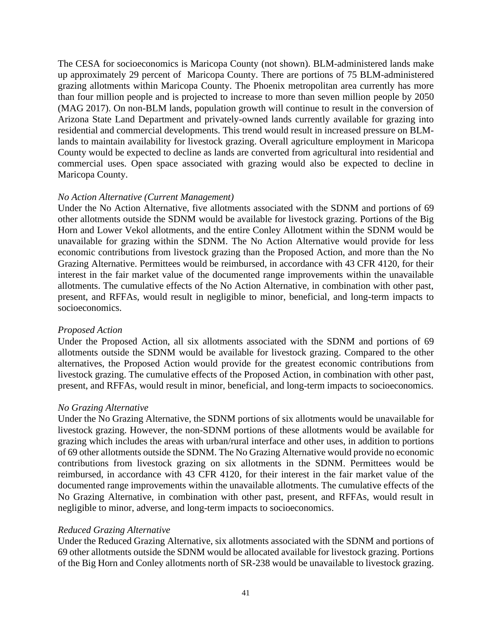The CESA for socioeconomics is Maricopa County (not shown). BLM-administered lands make up approximately 29 percent of Maricopa County. There are portions of 75 BLM-administered grazing allotments within Maricopa County. The Phoenix metropolitan area currently has more than four million people and is projected to increase to more than seven million people by 2050 (MAG 2017). On non-BLM lands, population growth will continue to result in the conversion of Arizona State Land Department and privately-owned lands currently available for grazing into residential and commercial developments. This trend would result in increased pressure on BLMlands to maintain availability for livestock grazing. Overall agriculture employment in Maricopa County would be expected to decline as lands are converted from agricultural into residential and commercial uses. Open space associated with grazing would also be expected to decline in Maricopa County.

## *No Action Alternative (Current Management)*

Under the No Action Alternative, five allotments associated with the SDNM and portions of 69 other allotments outside the SDNM would be available for livestock grazing. Portions of the Big Horn and Lower Vekol allotments, and the entire Conley Allotment within the SDNM would be unavailable for grazing within the SDNM. The No Action Alternative would provide for less economic contributions from livestock grazing than the Proposed Action, and more than the No Grazing Alternative. Permittees would be reimbursed, in accordance with 43 CFR 4120, for their interest in the fair market value of the documented range improvements within the unavailable allotments. The cumulative effects of the No Action Alternative, in combination with other past, present, and RFFAs, would result in negligible to minor, beneficial, and long-term impacts to socioeconomics.

## *Proposed Action*

Under the Proposed Action, all six allotments associated with the SDNM and portions of 69 allotments outside the SDNM would be available for livestock grazing. Compared to the other alternatives, the Proposed Action would provide for the greatest economic contributions from livestock grazing. The cumulative effects of the Proposed Action, in combination with other past, present, and RFFAs, would result in minor, beneficial, and long-term impacts to socioeconomics.

## *No Grazing Alternative*

Under the No Grazing Alternative, the SDNM portions of six allotments would be unavailable for livestock grazing. However, the non-SDNM portions of these allotments would be available for grazing which includes the areas with urban/rural interface and other uses, in addition to portions of 69 other allotments outside the SDNM. The No Grazing Alternative would provide no economic contributions from livestock grazing on six allotments in the SDNM. Permittees would be reimbursed, in accordance with 43 CFR 4120, for their interest in the fair market value of the documented range improvements within the unavailable allotments. The cumulative effects of the No Grazing Alternative, in combination with other past, present, and RFFAs, would result in negligible to minor, adverse, and long-term impacts to socioeconomics.

## *Reduced Grazing Alternative*

Under the Reduced Grazing Alternative, six allotments associated with the SDNM and portions of 69 other allotments outside the SDNM would be allocated available for livestock grazing. Portions of the Big Horn and Conley allotments north of SR-238 would be unavailable to livestock grazing.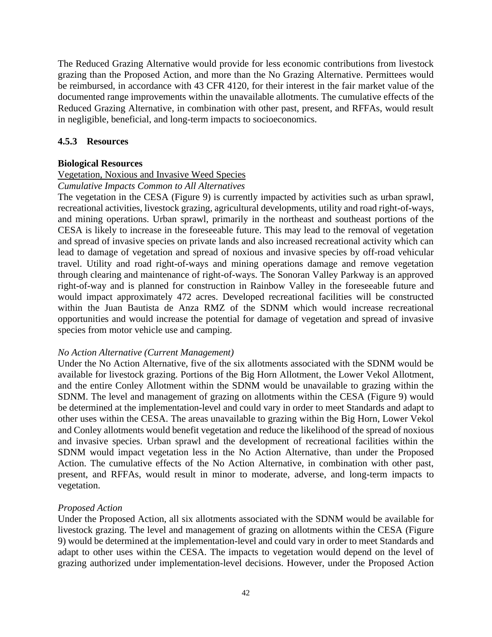The Reduced Grazing Alternative would provide for less economic contributions from livestock grazing than the Proposed Action, and more than the No Grazing Alternative. Permittees would be reimbursed, in accordance with 43 CFR 4120, for their interest in the fair market value of the documented range improvements within the unavailable allotments. The cumulative effects of the Reduced Grazing Alternative, in combination with other past, present, and RFFAs, would result in negligible, beneficial, and long-term impacts to socioeconomics.

## <span id="page-41-0"></span>**4.5.3 Resources**

## **Biological Resources**

#### Vegetation, Noxious and Invasive Weed Species

#### *Cumulative Impacts Common to All Alternatives*

The vegetation in the CESA (Figure 9) is currently impacted by activities such as urban sprawl, recreational activities, livestock grazing, agricultural developments, utility and road right-of-ways, and mining operations. Urban sprawl, primarily in the northeast and southeast portions of the CESA is likely to increase in the foreseeable future. This may lead to the removal of vegetation and spread of invasive species on private lands and also increased recreational activity which can lead to damage of vegetation and spread of noxious and invasive species by off-road vehicular travel. Utility and road right-of-ways and mining operations damage and remove vegetation through clearing and maintenance of right-of-ways. The Sonoran Valley Parkway is an approved right-of-way and is planned for construction in Rainbow Valley in the foreseeable future and would impact approximately 472 acres. Developed recreational facilities will be constructed within the Juan Bautista de Anza RMZ of the SDNM which would increase recreational opportunities and would increase the potential for damage of vegetation and spread of invasive species from motor vehicle use and camping.

## *No Action Alternative (Current Management)*

Under the No Action Alternative, five of the six allotments associated with the SDNM would be available for livestock grazing. Portions of the Big Horn Allotment, the Lower Vekol Allotment, and the entire Conley Allotment within the SDNM would be unavailable to grazing within the SDNM. The level and management of grazing on allotments within the CESA (Figure 9) would be determined at the implementation-level and could vary in order to meet Standards and adapt to other uses within the CESA. The areas unavailable to grazing within the Big Horn, Lower Vekol and Conley allotments would benefit vegetation and reduce the likelihood of the spread of noxious and invasive species. Urban sprawl and the development of recreational facilities within the SDNM would impact vegetation less in the No Action Alternative, than under the Proposed Action. The cumulative effects of the No Action Alternative, in combination with other past, present, and RFFAs, would result in minor to moderate, adverse, and long-term impacts to vegetation.

#### *Proposed Action*

Under the Proposed Action, all six allotments associated with the SDNM would be available for livestock grazing. The level and management of grazing on allotments within the CESA (Figure 9) would be determined at the implementation-level and could vary in order to meet Standards and adapt to other uses within the CESA. The impacts to vegetation would depend on the level of grazing authorized under implementation-level decisions. However, under the Proposed Action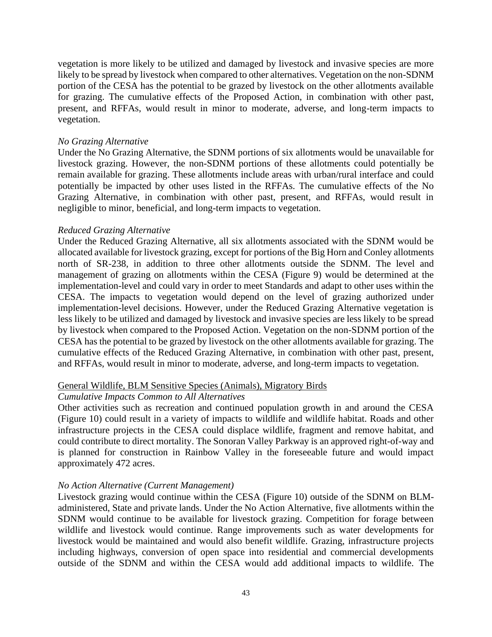vegetation is more likely to be utilized and damaged by livestock and invasive species are more likely to be spread by livestock when compared to other alternatives. Vegetation on the non-SDNM portion of the CESA has the potential to be grazed by livestock on the other allotments available for grazing. The cumulative effects of the Proposed Action, in combination with other past, present, and RFFAs, would result in minor to moderate, adverse, and long-term impacts to vegetation.

#### *No Grazing Alternative*

Under the No Grazing Alternative, the SDNM portions of six allotments would be unavailable for livestock grazing. However, the non-SDNM portions of these allotments could potentially be remain available for grazing. These allotments include areas with urban/rural interface and could potentially be impacted by other uses listed in the RFFAs. The cumulative effects of the No Grazing Alternative, in combination with other past, present, and RFFAs, would result in negligible to minor, beneficial, and long-term impacts to vegetation.

#### *Reduced Grazing Alternative*

Under the Reduced Grazing Alternative, all six allotments associated with the SDNM would be allocated available for livestock grazing, except for portions of the Big Horn and Conley allotments north of SR-238, in addition to three other allotments outside the SDNM. The level and management of grazing on allotments within the CESA (Figure 9) would be determined at the implementation-level and could vary in order to meet Standards and adapt to other uses within the CESA. The impacts to vegetation would depend on the level of grazing authorized under implementation-level decisions. However, under the Reduced Grazing Alternative vegetation is less likely to be utilized and damaged by livestock and invasive species are less likely to be spread by livestock when compared to the Proposed Action. Vegetation on the non-SDNM portion of the CESA has the potential to be grazed by livestock on the other allotments available for grazing. The cumulative effects of the Reduced Grazing Alternative, in combination with other past, present, and RFFAs, would result in minor to moderate, adverse, and long-term impacts to vegetation.

#### General Wildlife, BLM Sensitive Species (Animals), Migratory Birds

#### *Cumulative Impacts Common to All Alternatives*

Other activities such as recreation and continued population growth in and around the CESA (Figure 10) could result in a variety of impacts to wildlife and wildlife habitat. Roads and other infrastructure projects in the CESA could displace wildlife, fragment and remove habitat, and could contribute to direct mortality. The Sonoran Valley Parkway is an approved right-of-way and is planned for construction in Rainbow Valley in the foreseeable future and would impact approximately 472 acres.

#### *No Action Alternative (Current Management)*

Livestock grazing would continue within the CESA (Figure 10) outside of the SDNM on BLMadministered, State and private lands. Under the No Action Alternative, five allotments within the SDNM would continue to be available for livestock grazing. Competition for forage between wildlife and livestock would continue. Range improvements such as water developments for livestock would be maintained and would also benefit wildlife. Grazing, infrastructure projects including highways, conversion of open space into residential and commercial developments outside of the SDNM and within the CESA would add additional impacts to wildlife. The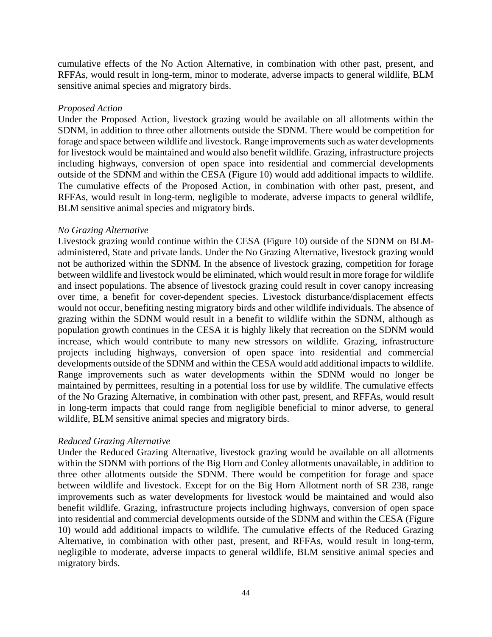cumulative effects of the No Action Alternative, in combination with other past, present, and RFFAs, would result in long-term, minor to moderate, adverse impacts to general wildlife, BLM sensitive animal species and migratory birds.

#### *Proposed Action*

Under the Proposed Action, livestock grazing would be available on all allotments within the SDNM, in addition to three other allotments outside the SDNM. There would be competition for forage and space between wildlife and livestock. Range improvements such as water developments for livestock would be maintained and would also benefit wildlife. Grazing, infrastructure projects including highways, conversion of open space into residential and commercial developments outside of the SDNM and within the CESA (Figure 10) would add additional impacts to wildlife. The cumulative effects of the Proposed Action, in combination with other past, present, and RFFAs, would result in long-term, negligible to moderate, adverse impacts to general wildlife, BLM sensitive animal species and migratory birds.

#### *No Grazing Alternative*

Livestock grazing would continue within the CESA (Figure 10) outside of the SDNM on BLMadministered, State and private lands. Under the No Grazing Alternative, livestock grazing would not be authorized within the SDNM. In the absence of livestock grazing, competition for forage between wildlife and livestock would be eliminated, which would result in more forage for wildlife and insect populations. The absence of livestock grazing could result in cover canopy increasing over time, a benefit for cover-dependent species. Livestock disturbance/displacement effects would not occur, benefiting nesting migratory birds and other wildlife individuals. The absence of grazing within the SDNM would result in a benefit to wildlife within the SDNM, although as population growth continues in the CESA it is highly likely that recreation on the SDNM would increase, which would contribute to many new stressors on wildlife. Grazing, infrastructure projects including highways, conversion of open space into residential and commercial developments outside of the SDNM and within the CESA would add additional impacts to wildlife. Range improvements such as water developments within the SDNM would no longer be maintained by permittees, resulting in a potential loss for use by wildlife. The cumulative effects of the No Grazing Alternative, in combination with other past, present, and RFFAs, would result in long-term impacts that could range from negligible beneficial to minor adverse, to general wildlife, BLM sensitive animal species and migratory birds.

#### *Reduced Grazing Alternative*

Under the Reduced Grazing Alternative, livestock grazing would be available on all allotments within the SDNM with portions of the Big Horn and Conley allotments unavailable, in addition to three other allotments outside the SDNM. There would be competition for forage and space between wildlife and livestock. Except for on the Big Horn Allotment north of SR 238, range improvements such as water developments for livestock would be maintained and would also benefit wildlife. Grazing, infrastructure projects including highways, conversion of open space into residential and commercial developments outside of the SDNM and within the CESA (Figure 10) would add additional impacts to wildlife. The cumulative effects of the Reduced Grazing Alternative, in combination with other past, present, and RFFAs, would result in long-term, negligible to moderate, adverse impacts to general wildlife, BLM sensitive animal species and migratory birds.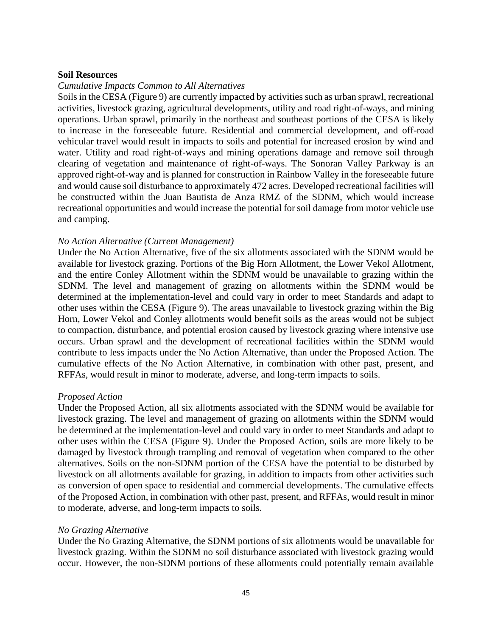#### **Soil Resources**

#### *Cumulative Impacts Common to All Alternatives*

Soils in the CESA (Figure 9) are currently impacted by activities such as urban sprawl, recreational activities, livestock grazing, agricultural developments, utility and road right-of-ways, and mining operations. Urban sprawl, primarily in the northeast and southeast portions of the CESA is likely to increase in the foreseeable future. Residential and commercial development, and off-road vehicular travel would result in impacts to soils and potential for increased erosion by wind and water. Utility and road right-of-ways and mining operations damage and remove soil through clearing of vegetation and maintenance of right-of-ways. The Sonoran Valley Parkway is an approved right-of-way and is planned for construction in Rainbow Valley in the foreseeable future and would cause soil disturbance to approximately 472 acres. Developed recreational facilities will be constructed within the Juan Bautista de Anza RMZ of the SDNM, which would increase recreational opportunities and would increase the potential for soil damage from motor vehicle use and camping.

#### *No Action Alternative (Current Management)*

Under the No Action Alternative, five of the six allotments associated with the SDNM would be available for livestock grazing. Portions of the Big Horn Allotment, the Lower Vekol Allotment, and the entire Conley Allotment within the SDNM would be unavailable to grazing within the SDNM. The level and management of grazing on allotments within the SDNM would be determined at the implementation-level and could vary in order to meet Standards and adapt to other uses within the CESA (Figure 9). The areas unavailable to livestock grazing within the Big Horn, Lower Vekol and Conley allotments would benefit soils as the areas would not be subject to compaction, disturbance, and potential erosion caused by livestock grazing where intensive use occurs. Urban sprawl and the development of recreational facilities within the SDNM would contribute to less impacts under the No Action Alternative, than under the Proposed Action. The cumulative effects of the No Action Alternative, in combination with other past, present, and RFFAs, would result in minor to moderate, adverse, and long-term impacts to soils.

#### *Proposed Action*

Under the Proposed Action, all six allotments associated with the SDNM would be available for livestock grazing. The level and management of grazing on allotments within the SDNM would be determined at the implementation-level and could vary in order to meet Standards and adapt to other uses within the CESA (Figure 9). Under the Proposed Action, soils are more likely to be damaged by livestock through trampling and removal of vegetation when compared to the other alternatives. Soils on the non-SDNM portion of the CESA have the potential to be disturbed by livestock on all allotments available for grazing, in addition to impacts from other activities such as conversion of open space to residential and commercial developments. The cumulative effects of the Proposed Action, in combination with other past, present, and RFFAs, would result in minor to moderate, adverse, and long-term impacts to soils.

#### *No Grazing Alternative*

Under the No Grazing Alternative, the SDNM portions of six allotments would be unavailable for livestock grazing. Within the SDNM no soil disturbance associated with livestock grazing would occur. However, the non-SDNM portions of these allotments could potentially remain available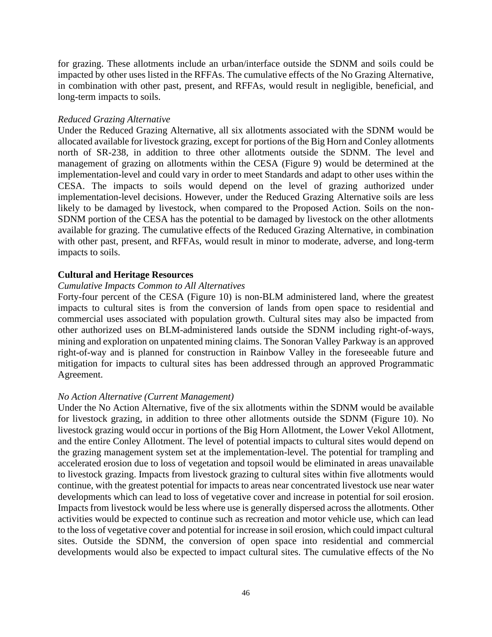for grazing. These allotments include an urban/interface outside the SDNM and soils could be impacted by other uses listed in the RFFAs. The cumulative effects of the No Grazing Alternative, in combination with other past, present, and RFFAs, would result in negligible, beneficial, and long-term impacts to soils.

#### *Reduced Grazing Alternative*

Under the Reduced Grazing Alternative, all six allotments associated with the SDNM would be allocated available for livestock grazing, except for portions of the Big Horn and Conley allotments north of SR-238, in addition to three other allotments outside the SDNM. The level and management of grazing on allotments within the CESA (Figure 9) would be determined at the implementation-level and could vary in order to meet Standards and adapt to other uses within the CESA. The impacts to soils would depend on the level of grazing authorized under implementation-level decisions. However, under the Reduced Grazing Alternative soils are less likely to be damaged by livestock, when compared to the Proposed Action. Soils on the non-SDNM portion of the CESA has the potential to be damaged by livestock on the other allotments available for grazing. The cumulative effects of the Reduced Grazing Alternative, in combination with other past, present, and RFFAs, would result in minor to moderate, adverse, and long-term impacts to soils.

## **Cultural and Heritage Resources**

#### *Cumulative Impacts Common to All Alternatives*

Forty-four percent of the CESA (Figure 10) is non-BLM administered land, where the greatest impacts to cultural sites is from the conversion of lands from open space to residential and commercial uses associated with population growth. Cultural sites may also be impacted from other authorized uses on BLM-administered lands outside the SDNM including right-of-ways, mining and exploration on unpatented mining claims. The Sonoran Valley Parkway is an approved right-of-way and is planned for construction in Rainbow Valley in the foreseeable future and mitigation for impacts to cultural sites has been addressed through an approved Programmatic Agreement.

#### *No Action Alternative (Current Management)*

Under the No Action Alternative, five of the six allotments within the SDNM would be available for livestock grazing, in addition to three other allotments outside the SDNM (Figure 10). No livestock grazing would occur in portions of the Big Horn Allotment, the Lower Vekol Allotment, and the entire Conley Allotment. The level of potential impacts to cultural sites would depend on the grazing management system set at the implementation-level. The potential for trampling and accelerated erosion due to loss of vegetation and topsoil would be eliminated in areas unavailable to livestock grazing. Impacts from livestock grazing to cultural sites within five allotments would continue, with the greatest potential for impacts to areas near concentrated livestock use near water developments which can lead to loss of vegetative cover and increase in potential for soil erosion. Impacts from livestock would be less where use is generally dispersed across the allotments. Other activities would be expected to continue such as recreation and motor vehicle use, which can lead to the loss of vegetative cover and potential for increase in soil erosion, which could impact cultural sites. Outside the SDNM, the conversion of open space into residential and commercial developments would also be expected to impact cultural sites. The cumulative effects of the No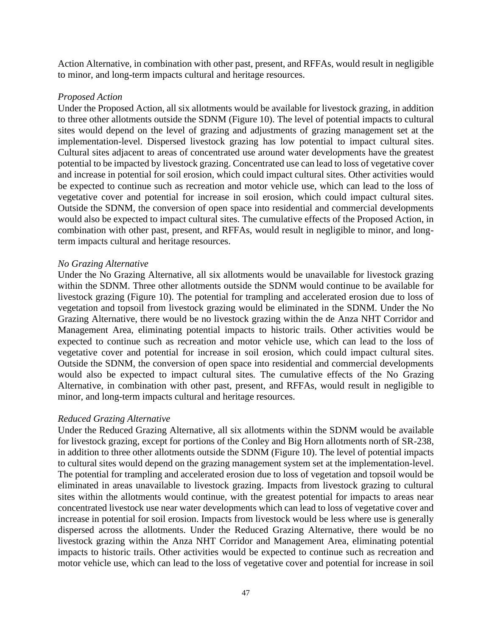Action Alternative, in combination with other past, present, and RFFAs, would result in negligible to minor, and long-term impacts cultural and heritage resources.

#### *Proposed Action*

Under the Proposed Action, all six allotments would be available for livestock grazing, in addition to three other allotments outside the SDNM (Figure 10). The level of potential impacts to cultural sites would depend on the level of grazing and adjustments of grazing management set at the implementation-level. Dispersed livestock grazing has low potential to impact cultural sites. Cultural sites adjacent to areas of concentrated use around water developments have the greatest potential to be impacted by livestock grazing. Concentrated use can lead to loss of vegetative cover and increase in potential for soil erosion, which could impact cultural sites. Other activities would be expected to continue such as recreation and motor vehicle use, which can lead to the loss of vegetative cover and potential for increase in soil erosion, which could impact cultural sites. Outside the SDNM, the conversion of open space into residential and commercial developments would also be expected to impact cultural sites. The cumulative effects of the Proposed Action, in combination with other past, present, and RFFAs, would result in negligible to minor, and longterm impacts cultural and heritage resources.

#### *No Grazing Alternative*

Under the No Grazing Alternative, all six allotments would be unavailable for livestock grazing within the SDNM. Three other allotments outside the SDNM would continue to be available for livestock grazing (Figure 10). The potential for trampling and accelerated erosion due to loss of vegetation and topsoil from livestock grazing would be eliminated in the SDNM. Under the No Grazing Alternative, there would be no livestock grazing within the de Anza NHT Corridor and Management Area, eliminating potential impacts to historic trails. Other activities would be expected to continue such as recreation and motor vehicle use, which can lead to the loss of vegetative cover and potential for increase in soil erosion, which could impact cultural sites. Outside the SDNM, the conversion of open space into residential and commercial developments would also be expected to impact cultural sites. The cumulative effects of the No Grazing Alternative, in combination with other past, present, and RFFAs, would result in negligible to minor, and long-term impacts cultural and heritage resources.

#### *Reduced Grazing Alternative*

Under the Reduced Grazing Alternative, all six allotments within the SDNM would be available for livestock grazing, except for portions of the Conley and Big Horn allotments north of SR-238, in addition to three other allotments outside the SDNM (Figure 10). The level of potential impacts to cultural sites would depend on the grazing management system set at the implementation-level. The potential for trampling and accelerated erosion due to loss of vegetation and topsoil would be eliminated in areas unavailable to livestock grazing. Impacts from livestock grazing to cultural sites within the allotments would continue, with the greatest potential for impacts to areas near concentrated livestock use near water developments which can lead to loss of vegetative cover and increase in potential for soil erosion. Impacts from livestock would be less where use is generally dispersed across the allotments. Under the Reduced Grazing Alternative, there would be no livestock grazing within the Anza NHT Corridor and Management Area, eliminating potential impacts to historic trails. Other activities would be expected to continue such as recreation and motor vehicle use, which can lead to the loss of vegetative cover and potential for increase in soil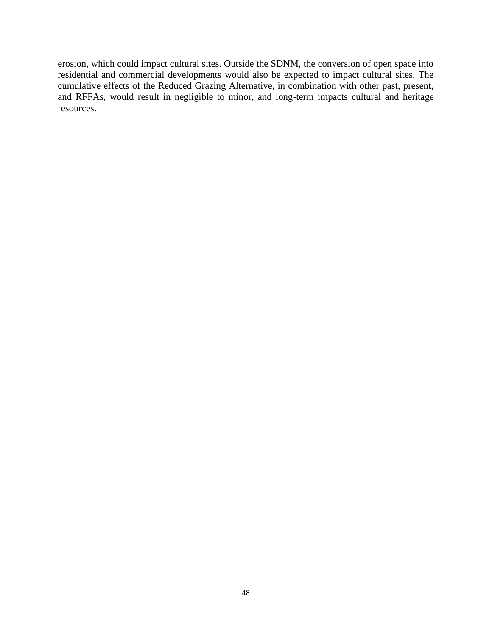erosion, which could impact cultural sites. Outside the SDNM, the conversion of open space into residential and commercial developments would also be expected to impact cultural sites. The cumulative effects of the Reduced Grazing Alternative, in combination with other past, present, and RFFAs, would result in negligible to minor, and long-term impacts cultural and heritage resources.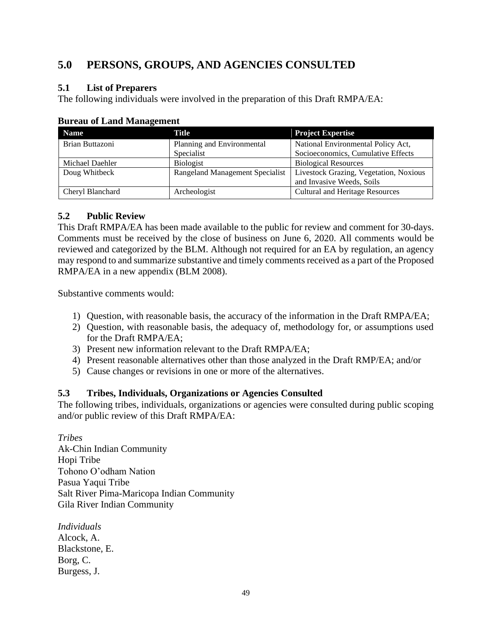# <span id="page-48-0"></span>**5.0 PERSONS, GROUPS, AND AGENCIES CONSULTED**

## <span id="page-48-1"></span>**5.1 List of Preparers**

The following individuals were involved in the preparation of this Draft RMPA/EA:

| <b>Name</b>                                             | Title                      | <b>Project Expertise</b>               |
|---------------------------------------------------------|----------------------------|----------------------------------------|
| Brian Buttazoni                                         | Planning and Environmental | National Environmental Policy Act,     |
|                                                         | Specialist                 | Socioeconomics, Cumulative Effects     |
| Michael Daehler                                         | <b>Biologist</b>           | <b>Biological Resources</b>            |
| Doug Whitbeck<br><b>Rangeland Management Specialist</b> |                            | Livestock Grazing, Vegetation, Noxious |
|                                                         |                            | and Invasive Weeds, Soils              |
| Cheryl Blanchard                                        | Archeologist               | Cultural and Heritage Resources        |

## **Bureau of Land Management**

## <span id="page-48-2"></span>**5.2 Public Review**

This Draft RMPA/EA has been made available to the public for review and comment for 30-days. Comments must be received by the close of business on June 6, 2020. All comments would be reviewed and categorized by the BLM. Although not required for an EA by regulation, an agency may respond to and summarize substantive and timely comments received as a part of the Proposed RMPA/EA in a new appendix (BLM 2008).

Substantive comments would:

- 1) Question, with reasonable basis, the accuracy of the information in the Draft RMPA/EA;
- 2) Question, with reasonable basis, the adequacy of, methodology for, or assumptions used for the Draft RMPA/EA;
- 3) Present new information relevant to the Draft RMPA/EA;
- 4) Present reasonable alternatives other than those analyzed in the Draft RMP/EA; and/or
- 5) Cause changes or revisions in one or more of the alternatives.

## <span id="page-48-3"></span>**5.3 Tribes, Individuals, Organizations or Agencies Consulted**

The following tribes, individuals, organizations or agencies were consulted during public scoping and/or public review of this Draft RMPA/EA:

*Tribes* Ak-Chin Indian Community Hopi Tribe Tohono O'odham Nation Pasua Yaqui Tribe Salt River Pima-Maricopa Indian Community Gila River Indian Community

*Individuals* Alcock, A. Blackstone, E. Borg, C. Burgess, J.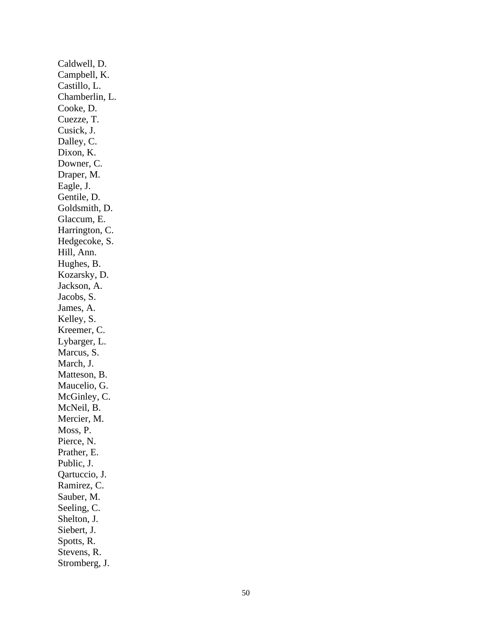Caldwell, D. Campbell, K. Castillo, L. Chamberlin, L. Cooke, D. Cuezze, T. Cusick, J. Dalley, C. Dixon, K. Downer, C. Draper, M. Eagle, J. Gentile, D. Goldsmith, D. Glaccum, E. Harrington, C. Hedgecoke, S. Hill, Ann. Hughes, B. Kozarsky, D. Jackson, A. Jacobs, S. James, A. Kelley, S. Kreemer, C. Lybarger, L. Marcus, S. March, J. Matteson, B. Maucelio, G. McGinley, C. McNeil, B. Mercier, M. Moss, P. Pierce, N. Prather, E. Public, J. Qartuccio, J. Ramirez, C . Sauber, M. Seeling, C. Shelton, J. Siebert, J. Spotts, R. Stevens, R. Stromberg, J.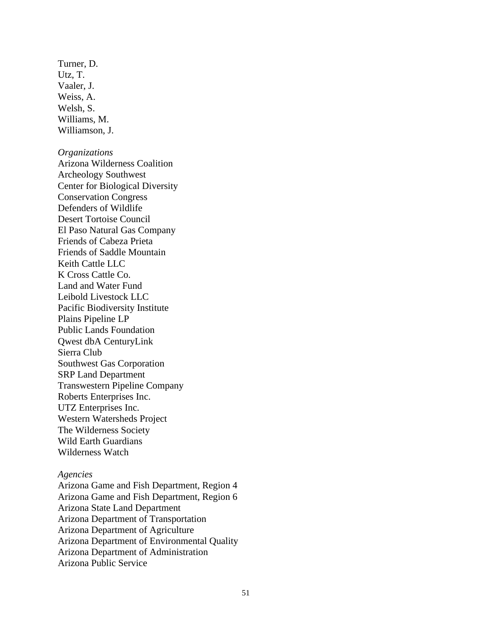Turner, D. Utz, T. Vaaler, J. Weiss, A. Welsh, S. Williams, M. Williamson, J.

#### *Organizations*

Arizona Wilderness Coalition Archeology Southwest Center for Biological Diversity Conservation Congress Defenders of Wildlife Desert Tortoise Council El Paso Natural Gas Company Friends of Cabeza Prieta Friends of Saddle Mountain Keith Cattle LLC K Cross Cattle Co. Land and Water Fund Leibold Livestock LLC Pacific Biodiversity Institute Plains Pipeline LP Public Lands Foundation Qwest dbA CenturyLink Sierra Club Southwest Gas Corporation SRP Land Department Transwestern Pipeline Company Roberts Enterprises Inc. UTZ Enterprises Inc. Western Watersheds Project The Wilderness Society Wild Earth Guardians Wilderness Watch

#### *Agencies*

Arizona Game and Fish Department, Region 4 Arizona Game and Fish Department, Region 6 Arizona State Land Department Arizona Department of Transportation Arizona Department of Agriculture Arizona Department of Environmental Quality Arizona Department of Administration Arizona Public Service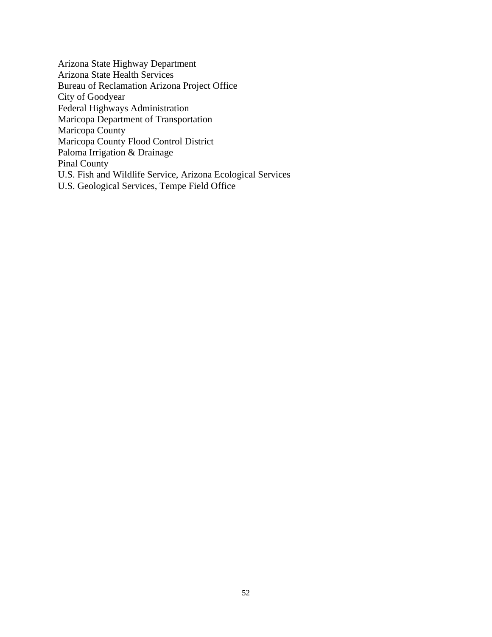Arizona State Highway Department Arizona State Health Services Bureau of Reclamation Arizona Project Office City of Goodyear Federal Highways Administration Maricopa Department of Transportation Maricopa County Maricopa County Flood Control District Paloma Irrigation & Drainage Pinal County U.S. Fish and Wildlife Service, Arizona Ecological Services U.S. Geological Services, Tempe Field Office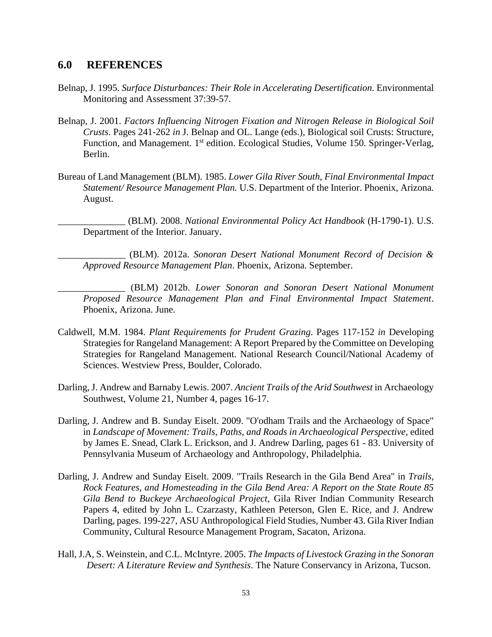## <span id="page-52-0"></span>**6.0 REFERENCES**

- Belnap, J. 1995. *Surface Disturbances: Their Role in Accelerating Desertification*. Environmental Monitoring and Assessment 37:39-57.
- Belnap, J. 2001. *Factors Influencing Nitrogen Fixation and Nitrogen Release in Biological Soil Crusts*. Pages 241-262 *in* J. Belnap and OL. Lange (eds.), Biological soil Crusts: Structure, Function, and Management. 1<sup>st</sup> edition. Ecological Studies, Volume 150. Springer-Verlag, Berlin.
- Bureau of Land Management (BLM). 1985. *Lower Gila River South, Final Environmental Impact Statement/ Resource Management Plan.* U.S. Department of the Interior. Phoenix, Arizona. August.
	- \_\_\_\_\_\_\_\_\_\_\_\_\_\_ (BLM). 2008. *National Environmental Policy Act Handbook* (H-1790-1). U.S. Department of the Interior. January.

\_\_\_\_\_\_\_\_\_\_\_\_\_\_ (BLM). 2012a. *Sonoran Desert National Monument Record of Decision & Approved Resource Management Plan*. Phoenix, Arizona. September.

- \_\_\_\_\_\_\_\_\_\_\_\_\_\_ (BLM) 2012b. *Lower Sonoran and Sonoran Desert National Monument Proposed Resource Management Plan and Final Environmental Impact Statement*. Phoenix, Arizona. June.
- Caldwell, M.M. 1984. *Plant Requirements for Prudent Grazing*. Pages 117-152 *in* Developing Strategies for Rangeland Management: A Report Prepared by the Committee on Developing Strategies for Rangeland Management. National Research Council/National Academy of Sciences. Westview Press, Boulder, Colorado.
- Darling, J. Andrew and Barnaby Lewis. 2007. *Ancient Trails of the Arid Southwest* in Archaeology Southwest, Volume 21, Number 4, pages 16-17.
- Darling, J. Andrew and B. Sunday Eiselt. 2009. "O'odham Trails and the Archaeology of Space" in *Landscape of Movement: Trails, Paths, and Roads in Archaeological Perspective*, edited by James E. Snead, Clark L. Erickson, and J. Andrew Darling, pages 61 - 83. University of Pennsylvania Museum of Archaeology and Anthropology, Philadelphia.
- Darling, J. Andrew and Sunday Eiselt. 2009. "Trails Research in the Gila Bend Area" in *Trails, Rock Features, and Homesteading in the Gila Bend Area: A Report on the State Route 85 Gila Bend to Buckeye Archaeological Project*, Gila River Indian Community Research Papers 4, edited by John L. Czarzasty, Kathleen Peterson, Glen E. Rice, and J. Andrew Darling, pages. 199-227, ASU Anthropological Field Studies, Number 43. Gila River Indian Community, Cultural Resource Management Program, Sacaton, Arizona.
- Hall, J.A, S. Weinstein, and C.L. McIntyre. 2005. *The Impacts of Livestock Grazing in the Sonoran Desert: A Literature Review and Synthesis*. The Nature Conservancy in Arizona, Tucson.